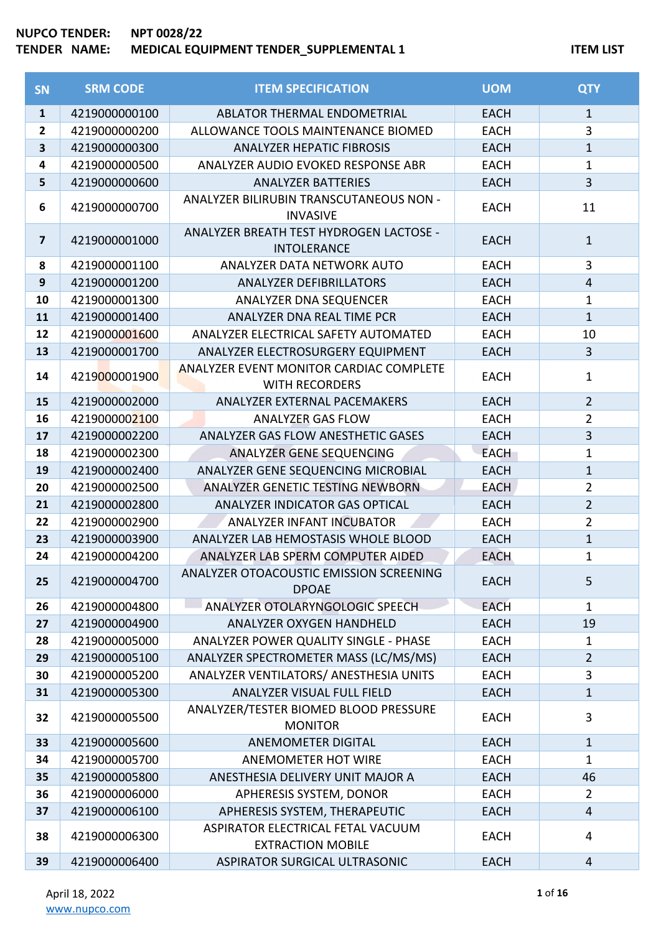| <b>SN</b>               | <b>SRM CODE</b> | <b>ITEM SPECIFICATION</b>                                        | <b>UOM</b>  | <b>QTY</b>     |
|-------------------------|-----------------|------------------------------------------------------------------|-------------|----------------|
| $\mathbf{1}$            | 4219000000100   | <b>ABLATOR THERMAL ENDOMETRIAL</b>                               | <b>EACH</b> | $\mathbf{1}$   |
| $\mathbf{2}$            | 4219000000200   | ALLOWANCE TOOLS MAINTENANCE BIOMED                               | <b>EACH</b> | 3              |
| 3                       | 4219000000300   | <b>ANALYZER HEPATIC FIBROSIS</b>                                 | <b>EACH</b> | $\mathbf{1}$   |
| 4                       | 4219000000500   | ANALYZER AUDIO EVOKED RESPONSE ABR                               | <b>EACH</b> | $\mathbf{1}$   |
| 5                       | 4219000000600   | <b>ANALYZER BATTERIES</b>                                        | <b>EACH</b> | $\overline{3}$ |
| 6                       | 4219000000700   | ANALYZER BILIRUBIN TRANSCUTANEOUS NON -<br><b>INVASIVE</b>       | <b>EACH</b> | 11             |
| $\overline{\mathbf{z}}$ | 4219000001000   | ANALYZER BREATH TEST HYDROGEN LACTOSE -<br><b>INTOLERANCE</b>    | <b>EACH</b> | $\mathbf{1}$   |
| 8                       | 4219000001100   | ANALYZER DATA NETWORK AUTO                                       | <b>EACH</b> | 3              |
| 9                       | 4219000001200   | <b>ANALYZER DEFIBRILLATORS</b>                                   | <b>EACH</b> | $\overline{4}$ |
| 10                      | 4219000001300   | ANALYZER DNA SEQUENCER                                           | <b>EACH</b> | $\mathbf{1}$   |
| 11                      | 4219000001400   | ANALYZER DNA REAL TIME PCR                                       | <b>EACH</b> | $\mathbf{1}$   |
| 12                      | 4219000001600   | ANALYZER ELECTRICAL SAFETY AUTOMATED                             | <b>EACH</b> | 10             |
| 13                      | 4219000001700   | ANALYZER ELECTROSURGERY EQUIPMENT                                | <b>EACH</b> | $\overline{3}$ |
| 14                      | 4219000001900   | ANALYZER EVENT MONITOR CARDIAC COMPLETE<br><b>WITH RECORDERS</b> | <b>EACH</b> | $\mathbf{1}$   |
| 15                      | 4219000002000   | ANALYZER EXTERNAL PACEMAKERS                                     | <b>EACH</b> | $\overline{2}$ |
| 16                      | 4219000002100   | <b>ANALYZER GAS FLOW</b>                                         | <b>EACH</b> | $\overline{2}$ |
| 17                      | 4219000002200   | ANALYZER GAS FLOW ANESTHETIC GASES                               | <b>EACH</b> | $\overline{3}$ |
| 18                      | 4219000002300   | ANALYZER GENE SEQUENCING                                         | <b>EACH</b> | $\mathbf{1}$   |
| 19                      | 4219000002400   | ANALYZER GENE SEQUENCING MICROBIAL                               | <b>EACH</b> | $\mathbf{1}$   |
| 20                      | 4219000002500   | ANALYZER GENETIC TESTING NEWBORN                                 | <b>EACH</b> | $\overline{2}$ |
| 21                      | 4219000002800   | ANALYZER INDICATOR GAS OPTICAL                                   | <b>EACH</b> | $\overline{2}$ |
| 22                      | 4219000002900   | ANALYZER INFANT INCUBATOR                                        | <b>EACH</b> | $\overline{2}$ |
| 23                      | 4219000003900   | ANALYZER LAB HEMOSTASIS WHOLE BLOOD                              | <b>EACH</b> | $\mathbf{1}$   |
| 24                      | 4219000004200   | ANALYZER LAB SPERM COMPUTER AIDED                                | <b>EACH</b> | $\mathbf 1$    |
| 25                      | 4219000004700   | ANALYZER OTOACOUSTIC EMISSION SCREENING<br><b>DPOAE</b>          | <b>EACH</b> | 5              |
| 26                      | 4219000004800   | ANALYZER OTOLARYNGOLOGIC SPEECH                                  | <b>EACH</b> | $\mathbf{1}$   |
| 27                      | 4219000004900   | ANALYZER OXYGEN HANDHELD                                         | <b>EACH</b> | 19             |
| 28                      | 4219000005000   | ANALYZER POWER QUALITY SINGLE - PHASE                            | <b>EACH</b> | $\mathbf{1}$   |
| 29                      | 4219000005100   | ANALYZER SPECTROMETER MASS (LC/MS/MS)                            | <b>EACH</b> | $\overline{2}$ |
| 30                      | 4219000005200   | ANALYZER VENTILATORS/ ANESTHESIA UNITS                           | <b>EACH</b> | 3              |
| 31                      | 4219000005300   | ANALYZER VISUAL FULL FIELD                                       | <b>EACH</b> | $\mathbf 1$    |
| 32                      | 4219000005500   | ANALYZER/TESTER BIOMED BLOOD PRESSURE<br><b>MONITOR</b>          | <b>EACH</b> | 3              |
| 33                      | 4219000005600   | <b>ANEMOMETER DIGITAL</b>                                        | <b>EACH</b> | $\mathbf{1}$   |
| 34                      | 4219000005700   | <b>ANEMOMETER HOT WIRE</b>                                       | <b>EACH</b> | $\mathbf{1}$   |
| 35                      | 4219000005800   | ANESTHESIA DELIVERY UNIT MAJOR A                                 | <b>EACH</b> | 46             |
| 36                      | 4219000006000   | APHERESIS SYSTEM, DONOR                                          | <b>EACH</b> | $\overline{2}$ |
| 37                      | 4219000006100   | APHERESIS SYSTEM, THERAPEUTIC                                    | <b>EACH</b> | $\overline{4}$ |
| 38                      | 4219000006300   | ASPIRATOR ELECTRICAL FETAL VACUUM<br><b>EXTRACTION MOBILE</b>    | <b>EACH</b> | 4              |
| 39                      | 4219000006400   | ASPIRATOR SURGICAL ULTRASONIC                                    | <b>EACH</b> | $\overline{4}$ |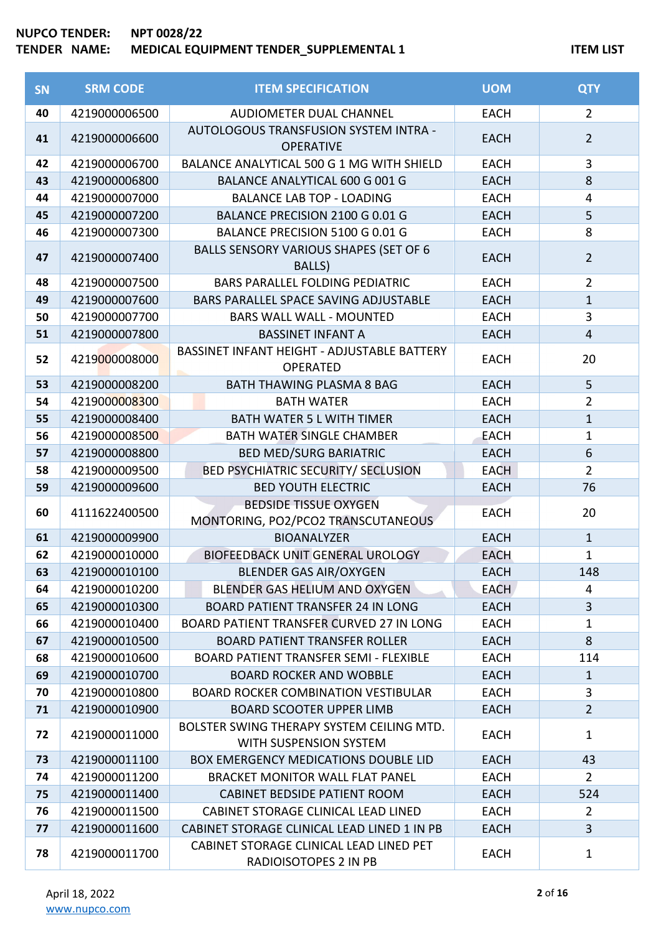| <b>SN</b> | <b>SRM CODE</b> | <b>ITEM SPECIFICATION</b>                                           | <b>UOM</b>  | <b>QTY</b>              |
|-----------|-----------------|---------------------------------------------------------------------|-------------|-------------------------|
| 40        | 4219000006500   | <b>AUDIOMETER DUAL CHANNEL</b>                                      | <b>EACH</b> | $\overline{2}$          |
| 41        | 4219000006600   | AUTOLOGOUS TRANSFUSION SYSTEM INTRA -<br><b>OPERATIVE</b>           | <b>EACH</b> | $\overline{2}$          |
| 42        | 4219000006700   | BALANCE ANALYTICAL 500 G 1 MG WITH SHIELD                           | <b>EACH</b> | 3                       |
| 43        | 4219000006800   | <b>BALANCE ANALYTICAL 600 G 001 G</b>                               | <b>EACH</b> | 8                       |
| 44        | 4219000007000   | <b>BALANCE LAB TOP - LOADING</b>                                    | <b>EACH</b> | $\overline{\mathbf{4}}$ |
| 45        | 4219000007200   | BALANCE PRECISION 2100 G 0.01 G                                     | <b>EACH</b> | 5                       |
| 46        | 4219000007300   | BALANCE PRECISION 5100 G 0.01 G                                     | <b>EACH</b> | 8                       |
| 47        | 4219000007400   | BALLS SENSORY VARIOUS SHAPES (SET OF 6<br><b>BALLS</b> )            | <b>EACH</b> | $\overline{2}$          |
| 48        | 4219000007500   | <b>BARS PARALLEL FOLDING PEDIATRIC</b>                              | <b>EACH</b> | $\overline{2}$          |
| 49        | 4219000007600   | BARS PARALLEL SPACE SAVING ADJUSTABLE                               | <b>EACH</b> | $\mathbf{1}$            |
| 50        | 4219000007700   | <b>BARS WALL WALL - MOUNTED</b>                                     | <b>EACH</b> | 3                       |
| 51        | 4219000007800   | <b>BASSINET INFANT A</b>                                            | <b>EACH</b> | $\overline{4}$          |
| 52        | 4219000008000   | BASSINET INFANT HEIGHT - ADJUSTABLE BATTERY<br><b>OPERATED</b>      | <b>EACH</b> | 20                      |
| 53        | 4219000008200   | <b>BATH THAWING PLASMA 8 BAG</b>                                    | <b>EACH</b> | 5                       |
| 54        | 4219000008300   | <b>BATH WATER</b>                                                   | <b>EACH</b> | $\overline{2}$          |
| 55        | 4219000008400   | <b>BATH WATER 5 L WITH TIMER</b>                                    | <b>EACH</b> | $\mathbf{1}$            |
| 56        | 4219000008500   | <b>BATH WATER SINGLE CHAMBER</b>                                    | <b>EACH</b> | $\mathbf 1$             |
| 57        | 4219000008800   | <b>BED MED/SURG BARIATRIC</b>                                       | <b>EACH</b> | 6                       |
| 58        | 4219000009500   | <b>BED PSYCHIATRIC SECURITY/ SECLUSION</b>                          | <b>EACH</b> | $\overline{2}$          |
| 59        | 4219000009600   | <b>BED YOUTH ELECTRIC</b>                                           | <b>EACH</b> | 76                      |
| 60        | 4111622400500   | <b>BEDSIDE TISSUE OXYGEN</b><br>MONTORING, PO2/PCO2 TRANSCUTANEOUS  | <b>EACH</b> | 20                      |
| 61        | 4219000009900   | <b>BIOANALYZER</b>                                                  | <b>EACH</b> | $\mathbf{1}$            |
| 62        | 4219000010000   | <b>BIOFEEDBACK UNIT GENERAL UROLOGY</b>                             | <b>EACH</b> | $\mathbf{1}$            |
| 63        | 4219000010100   | <b>BLENDER GAS AIR/OXYGEN</b>                                       | <b>EACH</b> | 148                     |
| 64        | 4219000010200   | <b>BLENDER GAS HELIUM AND OXYGEN</b>                                | <b>EACH</b> | 4                       |
| 65        | 4219000010300   | <b>BOARD PATIENT TRANSFER 24 IN LONG</b>                            | <b>EACH</b> | $\overline{3}$          |
| 66        | 4219000010400   | BOARD PATIENT TRANSFER CURVED 27 IN LONG                            | <b>EACH</b> | 1                       |
| 67        | 4219000010500   | <b>BOARD PATIENT TRANSFER ROLLER</b>                                | <b>EACH</b> | 8                       |
| 68        | 4219000010600   | <b>BOARD PATIENT TRANSFER SEMI - FLEXIBLE</b>                       | <b>EACH</b> | 114                     |
| 69        | 4219000010700   | <b>BOARD ROCKER AND WOBBLE</b>                                      | <b>EACH</b> | 1                       |
| 70        | 4219000010800   | <b>BOARD ROCKER COMBINATION VESTIBULAR</b>                          | <b>EACH</b> | 3                       |
| 71        | 4219000010900   | <b>BOARD SCOOTER UPPER LIMB</b>                                     | <b>EACH</b> | $\overline{2}$          |
| 72        | 4219000011000   | BOLSTER SWING THERAPY SYSTEM CEILING MTD.<br>WITH SUSPENSION SYSTEM | <b>EACH</b> | $\mathbf{1}$            |
| 73        | 4219000011100   | <b>BOX EMERGENCY MEDICATIONS DOUBLE LID</b>                         | <b>EACH</b> | 43                      |
| 74        | 4219000011200   | <b>BRACKET MONITOR WALL FLAT PANEL</b>                              | <b>EACH</b> | $\overline{2}$          |
| 75        | 4219000011400   | <b>CABINET BEDSIDE PATIENT ROOM</b>                                 | <b>EACH</b> | 524                     |
| 76        | 4219000011500   | CABINET STORAGE CLINICAL LEAD LINED                                 | <b>EACH</b> | $\overline{2}$          |
| 77        | 4219000011600   | CABINET STORAGE CLINICAL LEAD LINED 1 IN PB                         | <b>EACH</b> | 3                       |
| 78        | 4219000011700   | CABINET STORAGE CLINICAL LEAD LINED PET<br>RADIOISOTOPES 2 IN PB    | <b>EACH</b> | 1                       |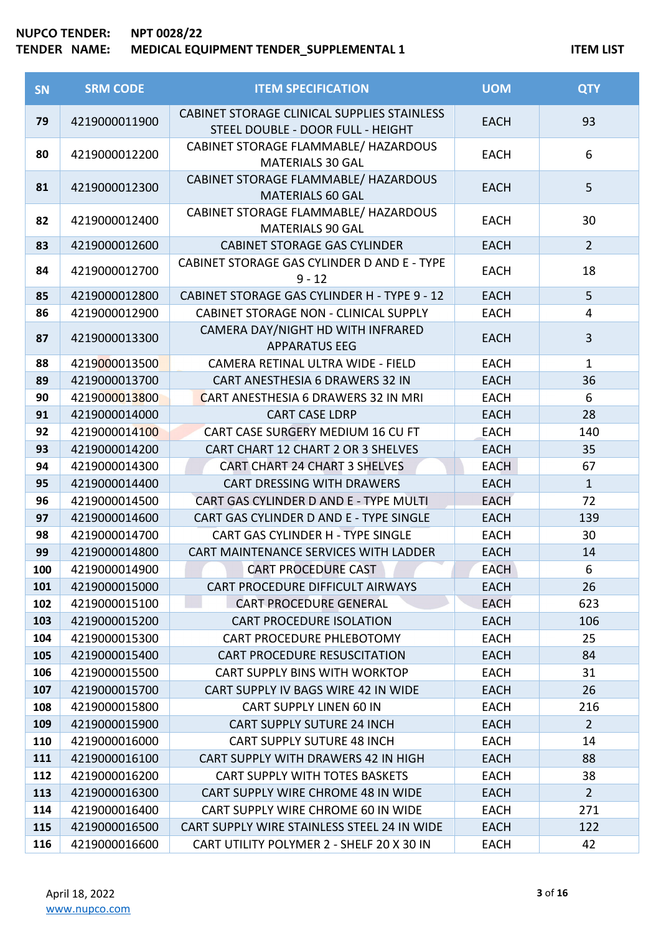| <b>SN</b> | <b>SRM CODE</b> | <b>ITEM SPECIFICATION</b>                                                        | <b>UOM</b>  | <b>QTY</b>              |
|-----------|-----------------|----------------------------------------------------------------------------------|-------------|-------------------------|
| 79        | 4219000011900   | CABINET STORAGE CLINICAL SUPPLIES STAINLESS<br>STEEL DOUBLE - DOOR FULL - HEIGHT | <b>EACH</b> | 93                      |
| 80        | 4219000012200   | CABINET STORAGE FLAMMABLE/ HAZARDOUS<br><b>MATERIALS 30 GAL</b>                  | <b>EACH</b> | 6                       |
| 81        | 4219000012300   | CABINET STORAGE FLAMMABLE/ HAZARDOUS<br><b>MATERIALS 60 GAL</b>                  | <b>EACH</b> | 5                       |
| 82        | 4219000012400   | CABINET STORAGE FLAMMABLE/ HAZARDOUS<br><b>MATERIALS 90 GAL</b>                  | <b>EACH</b> | 30                      |
| 83        | 4219000012600   | <b>CABINET STORAGE GAS CYLINDER</b>                                              | <b>EACH</b> | $\overline{2}$          |
| 84        | 4219000012700   | CABINET STORAGE GAS CYLINDER D AND E - TYPE<br>$9 - 12$                          | <b>EACH</b> | 18                      |
| 85        | 4219000012800   | CABINET STORAGE GAS CYLINDER H - TYPE 9 - 12                                     | <b>EACH</b> | 5                       |
| 86        | 4219000012900   | <b>CABINET STORAGE NON - CLINICAL SUPPLY</b>                                     | <b>EACH</b> | $\overline{4}$          |
| 87        | 4219000013300   | CAMERA DAY/NIGHT HD WITH INFRARED<br><b>APPARATUS EEG</b>                        | <b>EACH</b> | $\overline{\mathbf{3}}$ |
| 88        | 4219000013500   | CAMERA RETINAL ULTRA WIDE - FIELD                                                | <b>EACH</b> | $\mathbf 1$             |
| 89        | 4219000013700   | CART ANESTHESIA 6 DRAWERS 32 IN                                                  | <b>EACH</b> | 36                      |
| 90        | 4219000013800   | CART ANESTHESIA 6 DRAWERS 32 IN MRI                                              | <b>EACH</b> | 6                       |
| 91        | 4219000014000   | <b>CART CASE LDRP</b>                                                            | <b>EACH</b> | 28                      |
| 92        | 4219000014100   | CART CASE SURGERY MEDIUM 16 CU FT                                                | <b>EACH</b> | 140                     |
| 93        | 4219000014200   | CART CHART 12 CHART 2 OR 3 SHELVES                                               | <b>EACH</b> | 35                      |
| 94        | 4219000014300   | <b>CART CHART 24 CHART 3 SHELVES</b>                                             | <b>EACH</b> | 67                      |
| 95        | 4219000014400   | CART DRESSING WITH DRAWERS                                                       | <b>EACH</b> | $\mathbf{1}$            |
| 96        | 4219000014500   | CART GAS CYLINDER D AND E - TYPE MULTI                                           | <b>EACH</b> | 72                      |
| 97        | 4219000014600   | CART GAS CYLINDER D AND E - TYPE SINGLE                                          | <b>EACH</b> | 139                     |
| 98        | 4219000014700   | CART GAS CYLINDER H - TYPE SINGLE                                                | <b>EACH</b> | 30                      |
| 99        | 4219000014800   | CART MAINTENANCE SERVICES WITH LADDER                                            | <b>EACH</b> | 14                      |
| 100       | 4219000014900   | <b>CART PROCEDURE CAST</b>                                                       | <b>EACH</b> | 6                       |
| 101       | 4219000015000   | CART PROCEDURE DIFFICULT AIRWAYS                                                 | <b>EACH</b> | 26                      |
| 102       | 4219000015100   | <b>CART PROCEDURE GENERAL</b>                                                    | <b>EACH</b> | 623                     |
| 103       | 4219000015200   | <b>CART PROCEDURE ISOLATION</b>                                                  | <b>EACH</b> | 106                     |
| 104       | 4219000015300   | CART PROCEDURE PHLEBOTOMY                                                        | <b>EACH</b> | 25                      |
| 105       | 4219000015400   | <b>CART PROCEDURE RESUSCITATION</b>                                              | <b>EACH</b> | 84                      |
| 106       | 4219000015500   | CART SUPPLY BINS WITH WORKTOP                                                    | <b>EACH</b> | 31                      |
| 107       | 4219000015700   | CART SUPPLY IV BAGS WIRE 42 IN WIDE                                              | <b>EACH</b> | 26                      |
| 108       | 4219000015800   | <b>CART SUPPLY LINEN 60 IN</b>                                                   | <b>EACH</b> | 216                     |
| 109       | 4219000015900   | <b>CART SUPPLY SUTURE 24 INCH</b>                                                | <b>EACH</b> | $\overline{2}$          |
| 110       | 4219000016000   | <b>CART SUPPLY SUTURE 48 INCH</b>                                                | <b>EACH</b> | 14                      |
| 111       | 4219000016100   | CART SUPPLY WITH DRAWERS 42 IN HIGH                                              | <b>EACH</b> | 88                      |
| 112       | 4219000016200   | <b>CART SUPPLY WITH TOTES BASKETS</b>                                            | <b>EACH</b> | 38                      |
| 113       | 4219000016300   | CART SUPPLY WIRE CHROME 48 IN WIDE                                               | <b>EACH</b> | $\overline{2}$          |
| 114       | 4219000016400   | CART SUPPLY WIRE CHROME 60 IN WIDE                                               | <b>EACH</b> | 271                     |
| 115       | 4219000016500   | CART SUPPLY WIRE STAINLESS STEEL 24 IN WIDE                                      | <b>EACH</b> | 122                     |
| 116       | 4219000016600   | CART UTILITY POLYMER 2 - SHELF 20 X 30 IN                                        | <b>EACH</b> | 42                      |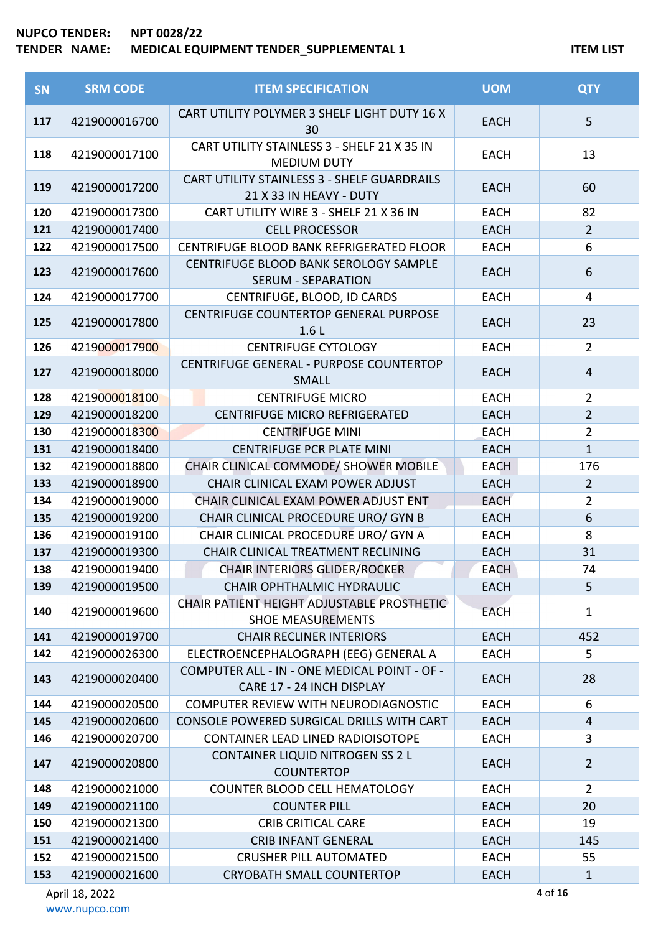#### **NUPCO TENDER: NPT 0028/22**

## **TENDER NAME: MEDICAL EQUIPMENT TENDER\_SUPPLEMENTAL 1 ITEM LIST**

| SN  | <b>SRM CODE</b> | <b>ITEM SPECIFICATION</b>                                                       | <b>UOM</b>  | <b>QTY</b>     |
|-----|-----------------|---------------------------------------------------------------------------------|-------------|----------------|
| 117 | 4219000016700   | CART UTILITY POLYMER 3 SHELF LIGHT DUTY 16 X<br>30                              | <b>EACH</b> | 5              |
| 118 | 4219000017100   | CART UTILITY STAINLESS 3 - SHELF 21 X 35 IN<br><b>MEDIUM DUTY</b>               | <b>EACH</b> | 13             |
| 119 | 4219000017200   | CART UTILITY STAINLESS 3 - SHELF GUARDRAILS<br>21 X 33 IN HEAVY - DUTY          | <b>EACH</b> | 60             |
| 120 | 4219000017300   | CART UTILITY WIRE 3 - SHELF 21 X 36 IN                                          | <b>EACH</b> | 82             |
| 121 | 4219000017400   | <b>CELL PROCESSOR</b>                                                           | <b>EACH</b> | $\overline{2}$ |
| 122 | 4219000017500   | CENTRIFUGE BLOOD BANK REFRIGERATED FLOOR                                        | <b>EACH</b> | 6              |
| 123 | 4219000017600   | CENTRIFUGE BLOOD BANK SEROLOGY SAMPLE<br><b>SERUM - SEPARATION</b>              | <b>EACH</b> | 6              |
| 124 | 4219000017700   | CENTRIFUGE, BLOOD, ID CARDS                                                     | <b>EACH</b> | 4              |
| 125 | 4219000017800   | CENTRIFUGE COUNTERTOP GENERAL PURPOSE<br>1.6 <sub>L</sub>                       | <b>EACH</b> | 23             |
| 126 | 4219000017900   | <b>CENTRIFUGE CYTOLOGY</b>                                                      | <b>EACH</b> | $\overline{2}$ |
| 127 | 4219000018000   | CENTRIFUGE GENERAL - PURPOSE COUNTERTOP<br><b>SMALL</b>                         | <b>EACH</b> | $\overline{4}$ |
| 128 | 4219000018100   | <b>CENTRIFUGE MICRO</b>                                                         | <b>EACH</b> | $\overline{2}$ |
| 129 | 4219000018200   | CENTRIFUGE MICRO REFRIGERATED                                                   | <b>EACH</b> | $\overline{2}$ |
| 130 | 4219000018300   | <b>CENTRIFUGE MINI</b>                                                          | <b>EACH</b> | $\overline{2}$ |
| 131 | 4219000018400   | <b>CENTRIFUGE PCR PLATE MINI</b>                                                | <b>EACH</b> | $\mathbf{1}$   |
| 132 | 4219000018800   | CHAIR CLINICAL COMMODE/ SHOWER MOBILE                                           | <b>EACH</b> | 176            |
| 133 | 4219000018900   | CHAIR CLINICAL EXAM POWER ADJUST                                                | <b>EACH</b> | $2^{\circ}$    |
| 134 | 4219000019000   | CHAIR CLINICAL EXAM POWER ADJUST ENT                                            | <b>EACH</b> | $\overline{2}$ |
| 135 | 4219000019200   | CHAIR CLINICAL PROCEDURE URO/ GYN B                                             | <b>EACH</b> | 6              |
| 136 | 4219000019100   | CHAIR CLINICAL PROCEDURE URO/ GYN A                                             | <b>EACH</b> | 8              |
| 137 | 4219000019300   | CHAIR CLINICAL TREATMENT RECLINING                                              | <b>EACH</b> | 31             |
| 138 | 4219000019400   | CHAIR INTERIORS GLIDER/ROCKER                                                   | <b>EACH</b> | 74             |
| 139 | 4219000019500   | <b>CHAIR OPHTHALMIC HYDRAULIC</b><br>CHAIR PATIENT HEIGHT ADJUSTABLE PROSTHETIC | <b>EACH</b> | 5              |
| 140 | 4219000019600   | <b>SHOE MEASUREMENTS</b>                                                        | <b>EACH</b> | $\mathbf{1}$   |
| 141 | 4219000019700   | <b>CHAIR RECLINER INTERIORS</b>                                                 | <b>EACH</b> | 452            |
| 142 | 4219000026300   | ELECTROENCEPHALOGRAPH (EEG) GENERAL A                                           | EACH        | 5              |
| 143 | 4219000020400   | COMPUTER ALL - IN - ONE MEDICAL POINT - OF -<br>CARE 17 - 24 INCH DISPLAY       | <b>EACH</b> | 28             |
| 144 | 4219000020500   | COMPUTER REVIEW WITH NEURODIAGNOSTIC                                            | <b>EACH</b> | 6              |
| 145 | 4219000020600   | CONSOLE POWERED SURGICAL DRILLS WITH CART                                       | <b>EACH</b> | $\overline{4}$ |
| 146 | 4219000020700   | <b>CONTAINER LEAD LINED RADIOISOTOPE</b>                                        | <b>EACH</b> | 3              |
| 147 | 4219000020800   | CONTAINER LIQUID NITROGEN SS 2 L<br><b>COUNTERTOP</b>                           | <b>EACH</b> | $\overline{2}$ |
| 148 | 4219000021000   | COUNTER BLOOD CELL HEMATOLOGY                                                   | <b>EACH</b> | $\overline{2}$ |
| 149 | 4219000021100   | <b>COUNTER PILL</b>                                                             | <b>EACH</b> | 20             |
| 150 | 4219000021300   | <b>CRIB CRITICAL CARE</b>                                                       | <b>EACH</b> | 19             |
| 151 | 4219000021400   | <b>CRIB INFANT GENERAL</b>                                                      | <b>EACH</b> | 145            |
| 152 | 4219000021500   | <b>CRUSHER PILL AUTOMATED</b>                                                   | <b>EACH</b> | 55             |
| 153 | 4219000021600   | <b>CRYOBATH SMALL COUNTERTOP</b>                                                | <b>EACH</b> | $\mathbf{1}$   |

April 18, 2022 [www.nupco.com](http://www.nupco.com/) of **16**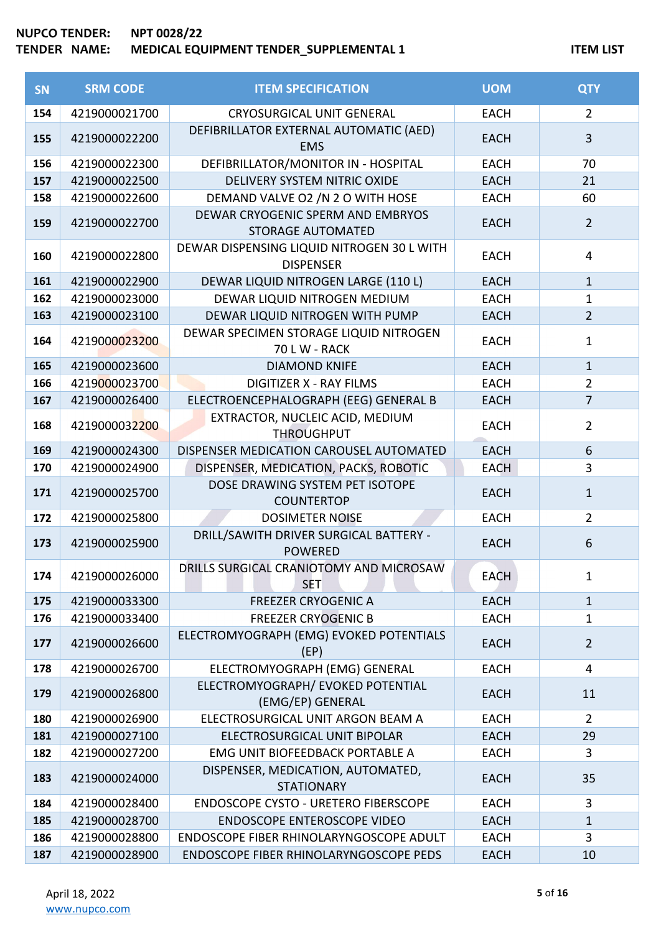#### **NUPCO TENDER: NPT 0028/22 TENDER NAME: MEDICAL EQUIPMENT TENDER\_SUPPLEMENTAL 1 ITEM CONTRIGHTS ITEM LIST**

| <b>SN</b> | <b>SRM CODE</b> | <b>ITEM SPECIFICATION</b>                                      | <b>UOM</b>  | <b>QTY</b>     |
|-----------|-----------------|----------------------------------------------------------------|-------------|----------------|
| 154       | 4219000021700   | <b>CRYOSURGICAL UNIT GENERAL</b>                               | <b>EACH</b> | $\overline{2}$ |
| 155       | 4219000022200   | DEFIBRILLATOR EXTERNAL AUTOMATIC (AED)<br><b>EMS</b>           | <b>EACH</b> | 3              |
| 156       | 4219000022300   | DEFIBRILLATOR/MONITOR IN - HOSPITAL                            | <b>EACH</b> | 70             |
| 157       | 4219000022500   | DELIVERY SYSTEM NITRIC OXIDE                                   | <b>EACH</b> | 21             |
| 158       | 4219000022600   | DEMAND VALVE O2 /N 2 O WITH HOSE                               | <b>EACH</b> | 60             |
| 159       | 4219000022700   | DEWAR CRYOGENIC SPERM AND EMBRYOS<br><b>STORAGE AUTOMATED</b>  | <b>EACH</b> | $\overline{2}$ |
| 160       | 4219000022800   | DEWAR DISPENSING LIQUID NITROGEN 30 L WITH<br><b>DISPENSER</b> | <b>EACH</b> | 4              |
| 161       | 4219000022900   | DEWAR LIQUID NITROGEN LARGE (110 L)                            | <b>EACH</b> | $\mathbf{1}$   |
| 162       | 4219000023000   | DEWAR LIQUID NITROGEN MEDIUM                                   | <b>EACH</b> | $\mathbf{1}$   |
| 163       | 4219000023100   | DEWAR LIQUID NITROGEN WITH PUMP                                | <b>EACH</b> | $\overline{2}$ |
| 164       | 4219000023200   | DEWAR SPECIMEN STORAGE LIQUID NITROGEN<br><b>70 L W - RACK</b> | <b>EACH</b> | $\mathbf{1}$   |
| 165       | 4219000023600   | <b>DIAMOND KNIFE</b>                                           | <b>EACH</b> | $\mathbf{1}$   |
| 166       | 4219000023700   | <b>DIGITIZER X - RAY FILMS</b>                                 | <b>EACH</b> | $\overline{2}$ |
| 167       | 4219000026400   | ELECTROENCEPHALOGRAPH (EEG) GENERAL B                          | <b>EACH</b> | $\overline{7}$ |
| 168       | 4219000032200   | EXTRACTOR, NUCLEIC ACID, MEDIUM<br><b>THROUGHPUT</b>           | <b>EACH</b> | $\overline{2}$ |
| 169       | 4219000024300   | DISPENSER MEDICATION CAROUSEL AUTOMATED                        | <b>EACH</b> | 6              |
| 170       | 4219000024900   | DISPENSER, MEDICATION, PACKS, ROBOTIC                          | <b>EACH</b> | 3              |
| 171       | 4219000025700   | DOSE DRAWING SYSTEM PET ISOTOPE<br><b>COUNTERTOP</b>           | <b>EACH</b> | $\mathbf{1}$   |
| 172       | 4219000025800   | <b>DOSIMETER NOISE</b>                                         | <b>EACH</b> | $\overline{2}$ |
| 173       | 4219000025900   | DRILL/SAWITH DRIVER SURGICAL BATTERY -<br><b>POWERED</b>       | <b>EACH</b> | 6              |
| 174       | 4219000026000   | DRILLS SURGICAL CRANIOTOMY AND MICROSAW<br><b>SET</b>          | <b>EACH</b> | 1              |
| 175       | 4219000033300   | <b>FREEZER CRYOGENIC A</b>                                     | <b>EACH</b> | $\mathbf{1}$   |
| 176       | 4219000033400   | <b>FREEZER CRYOGENIC B</b>                                     | <b>EACH</b> | $\mathbf{1}$   |
| 177       | 4219000026600   | ELECTROMYOGRAPH (EMG) EVOKED POTENTIALS<br>(EP)                | <b>EACH</b> | $\overline{2}$ |
| 178       | 4219000026700   | ELECTROMYOGRAPH (EMG) GENERAL                                  | <b>EACH</b> | 4              |
| 179       | 4219000026800   | ELECTROMYOGRAPH/ EVOKED POTENTIAL<br>(EMG/EP) GENERAL          | <b>EACH</b> | 11             |
| 180       | 4219000026900   | ELECTROSURGICAL UNIT ARGON BEAM A                              | <b>EACH</b> | $\overline{2}$ |
| 181       | 4219000027100   | ELECTROSURGICAL UNIT BIPOLAR                                   | <b>EACH</b> | 29             |
| 182       | 4219000027200   | EMG UNIT BIOFEEDBACK PORTABLE A                                | <b>EACH</b> | 3              |
| 183       | 4219000024000   | DISPENSER, MEDICATION, AUTOMATED,<br><b>STATIONARY</b>         | <b>EACH</b> | 35             |
| 184       | 4219000028400   | <b>ENDOSCOPE CYSTO - URETERO FIBERSCOPE</b>                    | <b>EACH</b> | 3              |
| 185       | 4219000028700   | <b>ENDOSCOPE ENTEROSCOPE VIDEO</b>                             | <b>EACH</b> | $\mathbf{1}$   |
| 186       | 4219000028800   | ENDOSCOPE FIBER RHINOLARYNGOSCOPE ADULT                        | <b>EACH</b> | 3              |
| 187       | 4219000028900   | ENDOSCOPE FIBER RHINOLARYNGOSCOPE PEDS                         | <b>EACH</b> | 10             |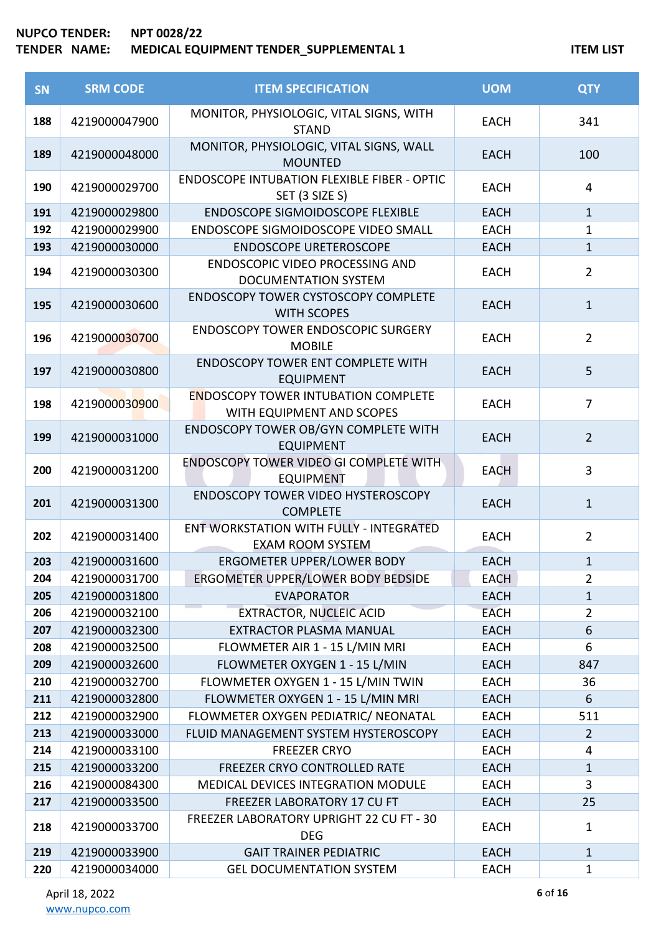| <b>SN</b>  | <b>SRM CODE</b>                | <b>ITEM SPECIFICATION</b>                                                             | <b>UOM</b>                 | <b>QTY</b>         |
|------------|--------------------------------|---------------------------------------------------------------------------------------|----------------------------|--------------------|
| 188        | 4219000047900                  | MONITOR, PHYSIOLOGIC, VITAL SIGNS, WITH<br><b>STAND</b>                               | <b>EACH</b>                | 341                |
| 189        | 4219000048000                  | MONITOR, PHYSIOLOGIC, VITAL SIGNS, WALL<br><b>MOUNTED</b>                             | <b>EACH</b>                | 100                |
| 190        | 4219000029700                  | <b>ENDOSCOPE INTUBATION FLEXIBLE FIBER - OPTIC</b><br>SET (3 SIZE S)                  | <b>EACH</b>                | 4                  |
| 191        | 4219000029800                  | <b>ENDOSCOPE SIGMOIDOSCOPE FLEXIBLE</b>                                               | <b>EACH</b>                | $\mathbf{1}$       |
| 192        | 4219000029900                  | ENDOSCOPE SIGMOIDOSCOPE VIDEO SMALL                                                   | <b>EACH</b>                | $\mathbf{1}$       |
| 193        | 4219000030000                  | <b>ENDOSCOPE URETEROSCOPE</b>                                                         | <b>EACH</b>                | $\mathbf{1}$       |
| 194        | 4219000030300                  | ENDOSCOPIC VIDEO PROCESSING AND<br><b>DOCUMENTATION SYSTEM</b>                        | <b>EACH</b>                | $\overline{2}$     |
| 195        | 4219000030600                  | <b>ENDOSCOPY TOWER CYSTOSCOPY COMPLETE</b><br><b>WITH SCOPES</b>                      | <b>EACH</b>                | $\mathbf{1}$       |
| 196        | 4219000030700                  | <b>ENDOSCOPY TOWER ENDOSCOPIC SURGERY</b><br><b>MOBILE</b>                            | <b>EACH</b>                | $\overline{2}$     |
| 197        | 4219000030800                  | <b>ENDOSCOPY TOWER ENT COMPLETE WITH</b><br><b>EQUIPMENT</b>                          | <b>EACH</b>                | 5                  |
| 198        | 4219000030900                  | <b>ENDOSCOPY TOWER INTUBATION COMPLETE</b><br>WITH EQUIPMENT AND SCOPES               | <b>EACH</b>                | $\overline{7}$     |
| 199        | 4219000031000                  | ENDOSCOPY TOWER OB/GYN COMPLETE WITH<br><b>EQUIPMENT</b>                              | <b>EACH</b>                | $\overline{2}$     |
| 200        | 4219000031200                  | ENDOSCOPY TOWER VIDEO GI COMPLETE WITH<br><b>EQUIPMENT</b>                            | <b>EACH</b>                | 3                  |
| 201        | 4219000031300                  | ENDOSCOPY TOWER VIDEO HYSTEROSCOPY<br><b>COMPLETE</b>                                 | <b>EACH</b>                | $\mathbf{1}$       |
| 202        | 4219000031400                  | ENT WORKSTATION WITH FULLY - INTEGRATED<br><b>EXAM ROOM SYSTEM</b>                    | <b>EACH</b>                | $\overline{2}$     |
| 203        | 4219000031600                  | ERGOMETER UPPER/LOWER BODY                                                            | <b>EACH</b>                | $\mathbf 1$        |
| 204        | 4219000031700                  | ERGOMETER UPPER/LOWER BODY BEDSIDE                                                    | <b>EACH</b>                | $\overline{2}$     |
| 205        | 4219000031800                  | <b>EVAPORATOR</b>                                                                     | <b>EACH</b>                | $\mathbf{1}$       |
| 206        | 4219000032100                  | <b>EXTRACTOR, NUCLEIC ACID</b>                                                        | <b>EACH</b>                | $\overline{2}$     |
| 207        | 4219000032300                  | <b>EXTRACTOR PLASMA MANUAL</b>                                                        | <b>EACH</b>                | 6                  |
| 208        | 4219000032500                  | FLOWMETER AIR 1 - 15 L/MIN MRI                                                        | <b>EACH</b>                | 6                  |
| 209        | 4219000032600                  | FLOWMETER OXYGEN 1 - 15 L/MIN                                                         | <b>EACH</b>                | 847                |
| 210        | 4219000032700                  | FLOWMETER OXYGEN 1 - 15 L/MIN TWIN                                                    | <b>EACH</b>                | 36                 |
| 211        | 4219000032800                  | FLOWMETER OXYGEN 1 - 15 L/MIN MRI                                                     | <b>EACH</b>                | 6                  |
| 212        | 4219000032900                  | FLOWMETER OXYGEN PEDIATRIC/ NEONATAL                                                  | <b>EACH</b>                | 511                |
| 213        | 4219000033000                  | FLUID MANAGEMENT SYSTEM HYSTEROSCOPY                                                  | <b>EACH</b>                | $\overline{2}$     |
| 214        | 4219000033100                  | <b>FREEZER CRYO</b>                                                                   | <b>EACH</b>                | 4                  |
| 215        | 4219000033200                  | FREEZER CRYO CONTROLLED RATE                                                          | <b>EACH</b>                | $1\,$              |
| 216<br>217 | 4219000084300                  | MEDICAL DEVICES INTEGRATION MODULE                                                    | <b>EACH</b>                | 3                  |
| 218        | 4219000033500<br>4219000033700 | FREEZER LABORATORY 17 CU FT<br>FREEZER LABORATORY UPRIGHT 22 CU FT - 30<br><b>DEG</b> | <b>EACH</b><br><b>EACH</b> | 25<br>$\mathbf{1}$ |
| 219        | 4219000033900                  | <b>GAIT TRAINER PEDIATRIC</b>                                                         | <b>EACH</b>                | $\mathbf{1}$       |
| 220        | 4219000034000                  | <b>GEL DOCUMENTATION SYSTEM</b>                                                       | <b>EACH</b>                | $\mathbf{1}$       |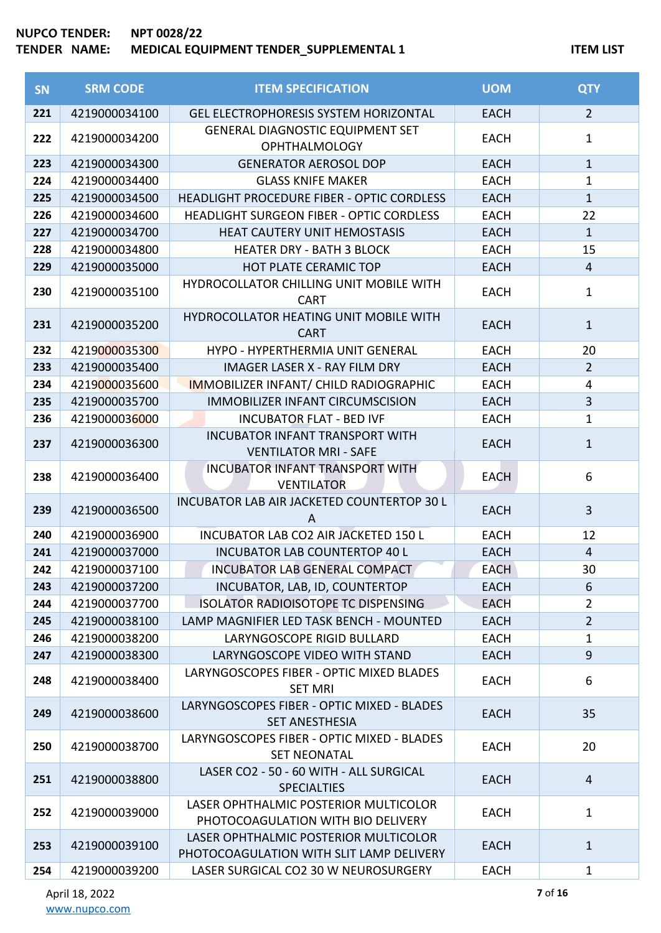| <b>SN</b> | <b>SRM CODE</b> | <b>ITEM SPECIFICATION</b>                                                         | <b>UOM</b>  | <b>QTY</b>     |
|-----------|-----------------|-----------------------------------------------------------------------------------|-------------|----------------|
| 221       | 4219000034100   | <b>GEL ELECTROPHORESIS SYSTEM HORIZONTAL</b>                                      | <b>EACH</b> | $\overline{2}$ |
| 222       | 4219000034200   | <b>GENERAL DIAGNOSTIC EQUIPMENT SET</b><br><b>OPHTHALMOLOGY</b>                   | <b>EACH</b> | $\mathbf{1}$   |
| 223       | 4219000034300   | <b>GENERATOR AEROSOL DOP</b>                                                      | <b>EACH</b> | $\mathbf{1}$   |
| 224       | 4219000034400   | <b>GLASS KNIFE MAKER</b>                                                          | <b>EACH</b> | $\mathbf{1}$   |
| 225       | 4219000034500   | HEADLIGHT PROCEDURE FIBER - OPTIC CORDLESS                                        | <b>EACH</b> | $\mathbf{1}$   |
| 226       | 4219000034600   | <b>HEADLIGHT SURGEON FIBER - OPTIC CORDLESS</b>                                   | <b>EACH</b> | 22             |
| 227       | 4219000034700   | <b>HEAT CAUTERY UNIT HEMOSTASIS</b>                                               | <b>EACH</b> | $\mathbf{1}$   |
| 228       | 4219000034800   | <b>HEATER DRY - BATH 3 BLOCK</b>                                                  | <b>EACH</b> | 15             |
| 229       | 4219000035000   | <b>HOT PLATE CERAMIC TOP</b>                                                      | <b>EACH</b> | $\overline{4}$ |
| 230       | 4219000035100   | HYDROCOLLATOR CHILLING UNIT MOBILE WITH<br><b>CART</b>                            | <b>EACH</b> | $\mathbf{1}$   |
| 231       | 4219000035200   | HYDROCOLLATOR HEATING UNIT MOBILE WITH<br><b>CART</b>                             | <b>EACH</b> | $\mathbf{1}$   |
| 232       | 4219000035300   | HYPO - HYPERTHERMIA UNIT GENERAL                                                  | <b>EACH</b> | 20             |
| 233       | 4219000035400   | <b>IMAGER LASER X - RAY FILM DRY</b>                                              | <b>EACH</b> | $\overline{2}$ |
| 234       | 4219000035600   | <b>IMMOBILIZER INFANT/ CHILD RADIOGRAPHIC</b>                                     | <b>EACH</b> | 4              |
| 235       | 4219000035700   | <b>IMMOBILIZER INFANT CIRCUMSCISION</b>                                           | <b>EACH</b> | $\overline{3}$ |
| 236       | 4219000036000   | <b>INCUBATOR FLAT - BED IVF</b>                                                   | <b>EACH</b> | $\mathbf 1$    |
| 237       | 4219000036300   | <b>INCUBATOR INFANT TRANSPORT WITH</b><br><b>VENTILATOR MRI - SAFE</b>            | <b>EACH</b> | $\mathbf{1}$   |
| 238       | 4219000036400   | <b>INCUBATOR INFANT TRANSPORT WITH</b><br><b>VENTILATOR</b>                       | <b>EACH</b> | 6              |
| 239       | 4219000036500   | INCUBATOR LAB AIR JACKETED COUNTERTOP 30 L<br>A                                   | <b>EACH</b> | 3              |
| 240       | 4219000036900   | INCUBATOR LAB CO2 AIR JACKETED 150 L                                              | <b>EACH</b> | 12             |
| 241       | 4219000037000   | <b>INCUBATOR LAB COUNTERTOP 40 L</b>                                              | <b>EACH</b> | $\overline{4}$ |
| 242       | 4219000037100   | INCUBATOR LAB GENERAL COMPACT                                                     | <b>EACH</b> | 30             |
| 243       | 4219000037200   | INCUBATOR, LAB, ID, COUNTERTOP                                                    | <b>EACH</b> | 6              |
| 244       | 4219000037700   | <b>ISOLATOR RADIOISOTOPE TC DISPENSING</b>                                        | <b>EACH</b> | $\overline{2}$ |
| 245       | 4219000038100   | LAMP MAGNIFIER LED TASK BENCH - MOUNTED                                           | <b>EACH</b> | $\overline{2}$ |
| 246       | 4219000038200   | LARYNGOSCOPE RIGID BULLARD                                                        | <b>EACH</b> | 1              |
| 247       | 4219000038300   | LARYNGOSCOPE VIDEO WITH STAND                                                     | <b>EACH</b> | 9              |
| 248       | 4219000038400   | LARYNGOSCOPES FIBER - OPTIC MIXED BLADES<br><b>SET MRI</b>                        | <b>EACH</b> | 6              |
| 249       | 4219000038600   | LARYNGOSCOPES FIBER - OPTIC MIXED - BLADES<br><b>SET ANESTHESIA</b>               | <b>EACH</b> | 35             |
| 250       | 4219000038700   | LARYNGOSCOPES FIBER - OPTIC MIXED - BLADES<br><b>SET NEONATAL</b>                 | <b>EACH</b> | 20             |
| 251       | 4219000038800   | LASER CO2 - 50 - 60 WITH - ALL SURGICAL<br><b>SPECIALTIES</b>                     | <b>EACH</b> | $\overline{4}$ |
| 252       | 4219000039000   | LASER OPHTHALMIC POSTERIOR MULTICOLOR<br>PHOTOCOAGULATION WITH BIO DELIVERY       | <b>EACH</b> | $\mathbf{1}$   |
| 253       | 4219000039100   | LASER OPHTHALMIC POSTERIOR MULTICOLOR<br>PHOTOCOAGULATION WITH SLIT LAMP DELIVERY | <b>EACH</b> | $\mathbf{1}$   |
| 254       | 4219000039200   | LASER SURGICAL CO2 30 W NEUROSURGERY                                              | <b>EACH</b> | $\mathbf{1}$   |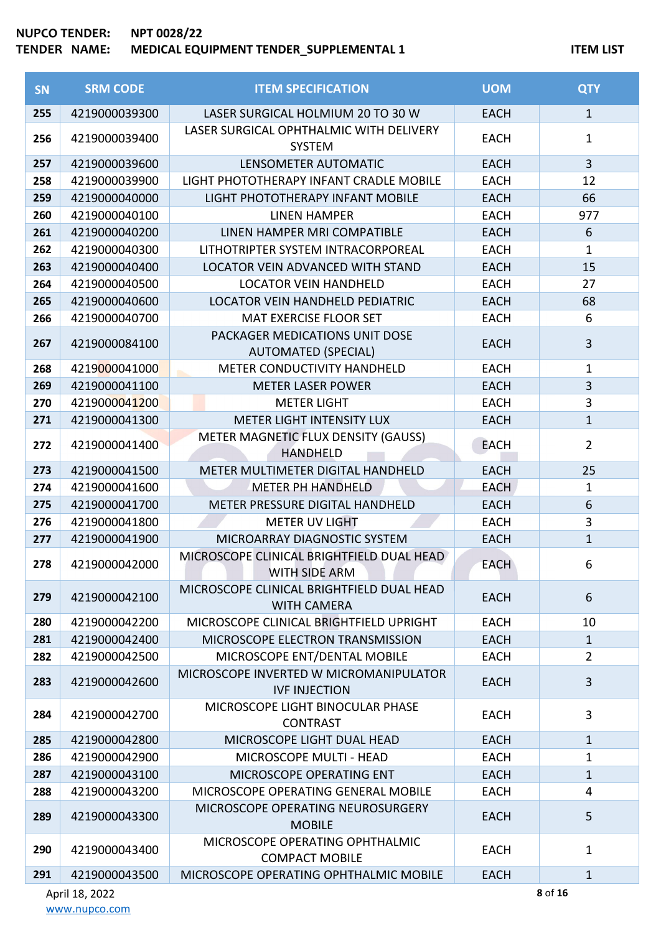| <b>SN</b> | <b>SRM CODE</b> | <b>ITEM SPECIFICATION</b>                                       | <b>UOM</b>  | <b>QTY</b>     |
|-----------|-----------------|-----------------------------------------------------------------|-------------|----------------|
| 255       | 4219000039300   | LASER SURGICAL HOLMIUM 20 TO 30 W                               | <b>EACH</b> | $\mathbf{1}$   |
| 256       | 4219000039400   | LASER SURGICAL OPHTHALMIC WITH DELIVERY<br>SYSTEM               | <b>EACH</b> | $\mathbf{1}$   |
| 257       | 4219000039600   | LENSOMETER AUTOMATIC                                            | <b>EACH</b> | $\overline{3}$ |
| 258       | 4219000039900   | LIGHT PHOTOTHERAPY INFANT CRADLE MOBILE                         | <b>EACH</b> | 12             |
| 259       | 4219000040000   | LIGHT PHOTOTHERAPY INFANT MOBILE                                | <b>EACH</b> | 66             |
| 260       | 4219000040100   | <b>LINEN HAMPER</b>                                             | <b>EACH</b> | 977            |
| 261       | 4219000040200   | LINEN HAMPER MRI COMPATIBLE                                     | <b>EACH</b> | 6              |
| 262       | 4219000040300   | LITHOTRIPTER SYSTEM INTRACORPOREAL                              | <b>EACH</b> | $\mathbf{1}$   |
| 263       | 4219000040400   | LOCATOR VEIN ADVANCED WITH STAND                                | <b>EACH</b> | 15             |
| 264       | 4219000040500   | <b>LOCATOR VEIN HANDHELD</b>                                    | <b>EACH</b> | 27             |
| 265       | 4219000040600   | <b>LOCATOR VEIN HANDHELD PEDIATRIC</b>                          | <b>EACH</b> | 68             |
| 266       | 4219000040700   | <b>MAT EXERCISE FLOOR SET</b>                                   | <b>EACH</b> | 6              |
| 267       | 4219000084100   | PACKAGER MEDICATIONS UNIT DOSE<br><b>AUTOMATED (SPECIAL)</b>    | <b>EACH</b> | 3              |
| 268       | 4219000041000   | <b>METER CONDUCTIVITY HANDHELD</b>                              | <b>EACH</b> | $\mathbf{1}$   |
| 269       | 4219000041100   | <b>METER LASER POWER</b>                                        | <b>EACH</b> | $\overline{3}$ |
| 270       | 4219000041200   | <b>METER LIGHT</b>                                              | <b>EACH</b> | 3              |
| 271       | 4219000041300   | <b>METER LIGHT INTENSITY LUX</b>                                | <b>EACH</b> | $\mathbf{1}$   |
| 272       | 4219000041400   | METER MAGNETIC FLUX DENSITY (GAUSS)<br><b>HANDHELD</b>          | <b>EACH</b> | $\overline{2}$ |
| 273       | 4219000041500   | METER MULTIMETER DIGITAL HANDHELD                               | <b>EACH</b> | 25             |
| 274       | 4219000041600   | <b>METER PH HANDHELD</b>                                        | <b>EACH</b> | $\mathbf{1}$   |
| 275       | 4219000041700   | METER PRESSURE DIGITAL HANDHELD                                 | <b>EACH</b> | 6              |
| 276       | 4219000041800   | <b>METER UV LIGHT</b>                                           | <b>EACH</b> | 3              |
| 277       | 4219000041900   | MICROARRAY DIAGNOSTIC SYSTEM                                    | <b>EACH</b> | $\mathbf 1$    |
| 278       | 4219000042000   | MICROSCOPE CLINICAL BRIGHTFIELD DUAL HEAD<br>WITH SIDE ARM      | <b>EACH</b> | 6              |
| 279       | 4219000042100   | MICROSCOPE CLINICAL BRIGHTFIELD DUAL HEAD<br><b>WITH CAMERA</b> | <b>EACH</b> | 6              |
| 280       | 4219000042200   | MICROSCOPE CLINICAL BRIGHTFIELD UPRIGHT                         | <b>EACH</b> | 10             |
| 281       | 4219000042400   | MICROSCOPE ELECTRON TRANSMISSION                                | <b>EACH</b> | $\mathbf{1}$   |
| 282       | 4219000042500   | MICROSCOPE ENT/DENTAL MOBILE                                    | <b>EACH</b> | $\overline{2}$ |
| 283       | 4219000042600   | MICROSCOPE INVERTED W MICROMANIPULATOR<br><b>IVF INJECTION</b>  | <b>EACH</b> | 3              |
| 284       | 4219000042700   | MICROSCOPE LIGHT BINOCULAR PHASE<br><b>CONTRAST</b>             | <b>EACH</b> | 3              |
| 285       | 4219000042800   | MICROSCOPE LIGHT DUAL HEAD                                      | <b>EACH</b> | $\mathbf{1}$   |
| 286       | 4219000042900   | MICROSCOPE MULTI - HEAD                                         | <b>EACH</b> | $\mathbf{1}$   |
| 287       | 4219000043100   | MICROSCOPE OPERATING ENT                                        | <b>EACH</b> | $\mathbf{1}$   |
| 288       | 4219000043200   | MICROSCOPE OPERATING GENERAL MOBILE                             | <b>EACH</b> | 4              |
| 289       | 4219000043300   | MICROSCOPE OPERATING NEUROSURGERY<br><b>MOBILE</b>              | <b>EACH</b> | 5              |
| 290       | 4219000043400   | MICROSCOPE OPERATING OPHTHALMIC<br><b>COMPACT MOBILE</b>        | <b>EACH</b> | $\mathbf{1}$   |
| 291       | 4219000043500   | MICROSCOPE OPERATING OPHTHALMIC MOBILE                          | <b>EACH</b> | $\mathbf{1}$   |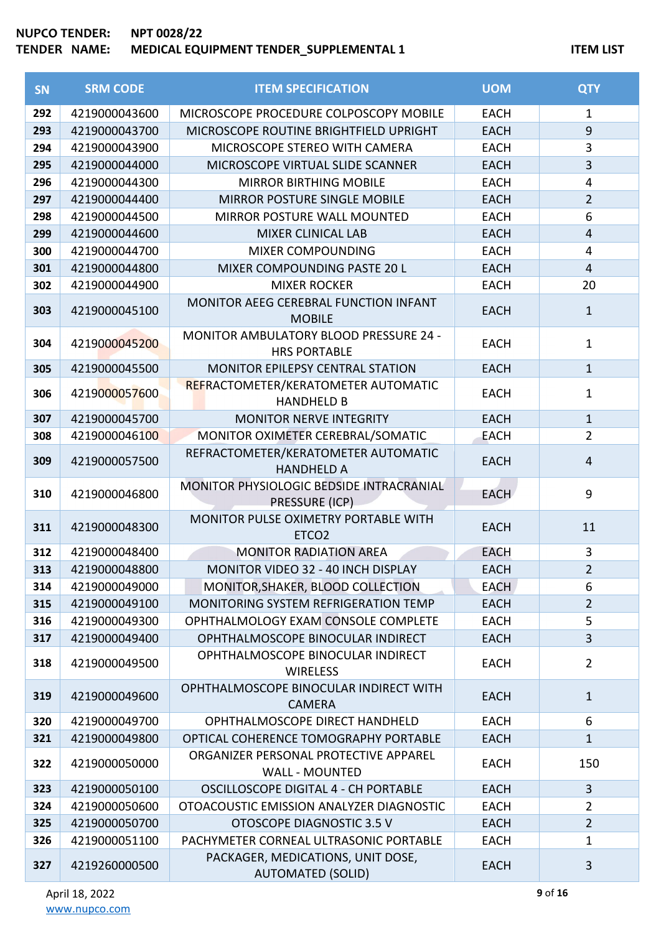| SN  | <b>SRM CODE</b> | <b>ITEM SPECIFICATION</b>                                     | <b>UOM</b>  | <b>QTY</b>     |
|-----|-----------------|---------------------------------------------------------------|-------------|----------------|
| 292 | 4219000043600   | MICROSCOPE PROCEDURE COLPOSCOPY MOBILE                        | <b>EACH</b> | $\mathbf{1}$   |
| 293 | 4219000043700   | MICROSCOPE ROUTINE BRIGHTFIELD UPRIGHT                        | <b>EACH</b> | $\overline{9}$ |
| 294 | 4219000043900   | MICROSCOPE STEREO WITH CAMERA                                 | <b>EACH</b> | 3              |
| 295 | 4219000044000   | MICROSCOPE VIRTUAL SLIDE SCANNER                              | <b>EACH</b> | $\overline{3}$ |
| 296 | 4219000044300   | <b>MIRROR BIRTHING MOBILE</b>                                 | <b>EACH</b> | 4              |
| 297 | 4219000044400   | MIRROR POSTURE SINGLE MOBILE                                  | <b>EACH</b> | $\overline{2}$ |
| 298 | 4219000044500   | MIRROR POSTURE WALL MOUNTED                                   | <b>EACH</b> | 6              |
| 299 | 4219000044600   | <b>MIXER CLINICAL LAB</b>                                     | <b>EACH</b> | $\overline{4}$ |
| 300 | 4219000044700   | <b>MIXER COMPOUNDING</b>                                      | <b>EACH</b> | 4              |
| 301 | 4219000044800   | MIXER COMPOUNDING PASTE 20 L                                  | <b>EACH</b> | $\overline{4}$ |
| 302 | 4219000044900   | <b>MIXER ROCKER</b>                                           | <b>EACH</b> | 20             |
| 303 | 4219000045100   | MONITOR AEEG CEREBRAL FUNCTION INFANT                         | <b>EACH</b> | $\mathbf{1}$   |
|     |                 | <b>MOBILE</b>                                                 |             |                |
| 304 | 4219000045200   | MONITOR AMBULATORY BLOOD PRESSURE 24 -                        | <b>EACH</b> | $\mathbf{1}$   |
|     |                 | <b>HRS PORTABLE</b>                                           |             |                |
| 305 | 4219000045500   | MONITOR EPILEPSY CENTRAL STATION                              | <b>EACH</b> | $\mathbf{1}$   |
| 306 | 4219000057600   | REFRACTOMETER/KERATOMETER AUTOMATIC                           | <b>EACH</b> | $\mathbf{1}$   |
|     |                 | <b>HANDHELD B</b>                                             |             | $\mathbf{1}$   |
| 307 | 4219000045700   | <b>MONITOR NERVE INTEGRITY</b>                                | <b>EACH</b> |                |
| 308 | 4219000046100   | MONITOR OXIMETER CEREBRAL/SOMATIC                             | <b>EACH</b> | $\overline{2}$ |
| 309 | 4219000057500   | REFRACTOMETER/KERATOMETER AUTOMATIC<br><b>HANDHELD A</b>      | <b>EACH</b> | $\overline{4}$ |
|     |                 | MONITOR PHYSIOLOGIC BEDSIDE INTRACRANIAL                      |             |                |
| 310 | 4219000046800   | PRESSURE (ICP)                                                | <b>EACH</b> | 9              |
|     |                 | MONITOR PULSE OXIMETRY PORTABLE WITH                          |             |                |
| 311 | 4219000048300   | ETCO <sub>2</sub>                                             | <b>EACH</b> | 11             |
| 312 | 4219000048400   | <b>MONITOR RADIATION AREA</b>                                 | <b>EACH</b> | $\mathbf{3}$   |
| 313 | 4219000048800   | <b>MONITOR VIDEO 32 - 40 INCH DISPLAY</b>                     | <b>EACH</b> | $\overline{2}$ |
| 314 | 4219000049000   | MONITOR, SHAKER, BLOOD COLLECTION                             | <b>EACH</b> | 6              |
| 315 | 4219000049100   | <b>MONITORING SYSTEM REFRIGERATION TEMP</b>                   | <b>EACH</b> | $\overline{2}$ |
| 316 | 4219000049300   | OPHTHALMOLOGY EXAM CONSOLE COMPLETE                           | <b>EACH</b> | 5              |
| 317 | 4219000049400   | OPHTHALMOSCOPE BINOCULAR INDIRECT                             | <b>EACH</b> | 3              |
| 318 | 4219000049500   | OPHTHALMOSCOPE BINOCULAR INDIRECT                             | <b>EACH</b> | $\overline{2}$ |
|     |                 | <b>WIRELESS</b>                                               |             |                |
| 319 | 4219000049600   | OPHTHALMOSCOPE BINOCULAR INDIRECT WITH                        | <b>EACH</b> | $\mathbf{1}$   |
|     |                 | <b>CAMERA</b>                                                 |             |                |
| 320 | 4219000049700   | OPHTHALMOSCOPE DIRECT HANDHELD                                | <b>EACH</b> | 6              |
| 321 | 4219000049800   | OPTICAL COHERENCE TOMOGRAPHY PORTABLE                         | <b>EACH</b> | $\mathbf{1}$   |
| 322 | 4219000050000   | ORGANIZER PERSONAL PROTECTIVE APPAREL                         | <b>EACH</b> | 150            |
|     |                 | <b>WALL - MOUNTED</b>                                         |             |                |
| 323 | 4219000050100   | OSCILLOSCOPE DIGITAL 4 - CH PORTABLE                          | <b>EACH</b> | 3              |
| 324 | 4219000050600   | OTOACOUSTIC EMISSION ANALYZER DIAGNOSTIC                      | <b>EACH</b> | $\overline{2}$ |
| 325 | 4219000050700   | OTOSCOPE DIAGNOSTIC 3.5 V                                     | <b>EACH</b> | $\overline{2}$ |
| 326 | 4219000051100   | PACHYMETER CORNEAL ULTRASONIC PORTABLE                        | <b>EACH</b> | $\mathbf{1}$   |
| 327 | 4219260000500   | PACKAGER, MEDICATIONS, UNIT DOSE,<br><b>AUTOMATED (SOLID)</b> | <b>EACH</b> | 3              |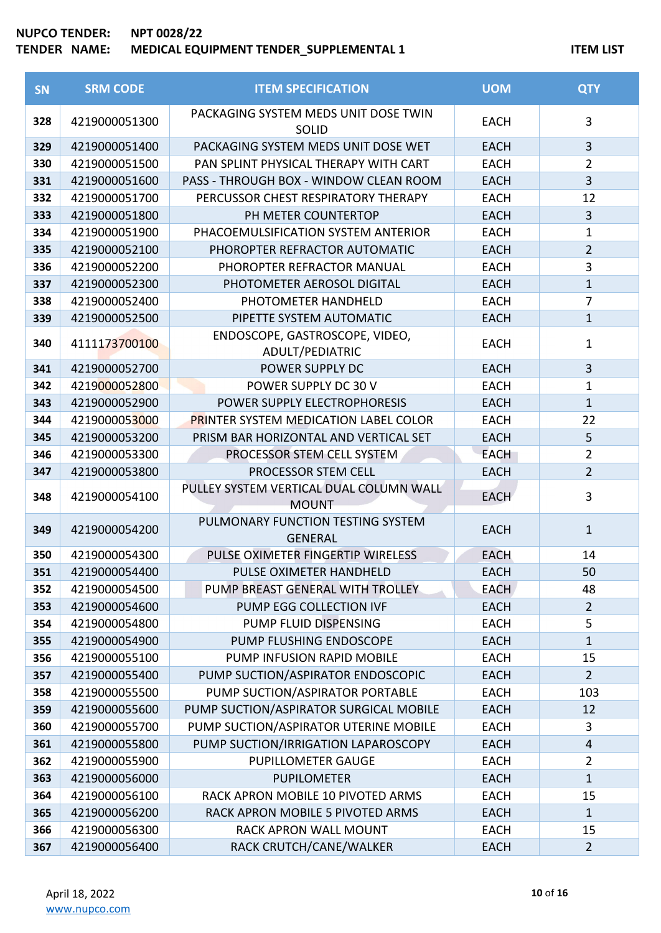| SN  | <b>SRM CODE</b> | <b>ITEM SPECIFICATION</b>                            | <b>UOM</b>  | <b>QTY</b>     |
|-----|-----------------|------------------------------------------------------|-------------|----------------|
| 328 | 4219000051300   | PACKAGING SYSTEM MEDS UNIT DOSE TWIN<br><b>SOLID</b> | <b>EACH</b> | $\overline{3}$ |
| 329 | 4219000051400   | PACKAGING SYSTEM MEDS UNIT DOSE WET                  | <b>EACH</b> | 3              |
| 330 | 4219000051500   | PAN SPLINT PHYSICAL THERAPY WITH CART                | <b>EACH</b> | $\overline{2}$ |
| 331 | 4219000051600   | PASS - THROUGH BOX - WINDOW CLEAN ROOM               | <b>EACH</b> | 3              |
| 332 | 4219000051700   | PERCUSSOR CHEST RESPIRATORY THERAPY                  | <b>EACH</b> | 12             |
| 333 | 4219000051800   | PH METER COUNTERTOP                                  | <b>EACH</b> | 3              |
| 334 | 4219000051900   | PHACOEMULSIFICATION SYSTEM ANTERIOR                  | <b>EACH</b> | 1              |
| 335 | 4219000052100   | PHOROPTER REFRACTOR AUTOMATIC                        | <b>EACH</b> | $\overline{2}$ |
| 336 | 4219000052200   | PHOROPTER REFRACTOR MANUAL                           | <b>EACH</b> | $\overline{3}$ |
| 337 | 4219000052300   | PHOTOMETER AEROSOL DIGITAL                           | <b>EACH</b> | $\mathbf{1}$   |
| 338 | 4219000052400   | PHOTOMETER HANDHELD                                  | <b>EACH</b> | $\overline{7}$ |
| 339 | 4219000052500   | PIPETTE SYSTEM AUTOMATIC                             | <b>EACH</b> | $\mathbf{1}$   |
| 340 | 4111173700100   | ENDOSCOPE, GASTROSCOPE, VIDEO,<br>ADULT/PEDIATRIC    | <b>EACH</b> | $\mathbf{1}$   |
| 341 | 4219000052700   | POWER SUPPLY DC                                      | <b>EACH</b> | $\overline{3}$ |
| 342 | 4219000052800   | POWER SUPPLY DC 30 V                                 | <b>EACH</b> | $\mathbf 1$    |
| 343 | 4219000052900   | POWER SUPPLY ELECTROPHORESIS                         | <b>EACH</b> | $\mathbf{1}$   |
| 344 | 4219000053000   | <b>PRINTER SYSTEM MEDICATION LABEL COLOR</b>         | <b>EACH</b> | 22             |
| 345 | 4219000053200   | PRISM BAR HORIZONTAL AND VERTICAL SET                | <b>EACH</b> | 5              |
| 346 | 4219000053300   | PROCESSOR STEM CELL SYSTEM                           | <b>EACH</b> | $\overline{2}$ |
| 347 | 4219000053800   | PROCESSOR STEM CELL                                  | <b>EACH</b> | $\overline{2}$ |
| 348 | 4219000054100   | PULLEY SYSTEM VERTICAL DUAL COLUMN WALL              | <b>EACH</b> | 3              |
|     |                 | <b>MOUNT</b>                                         |             |                |
| 349 | 4219000054200   | PULMONARY FUNCTION TESTING SYSTEM<br><b>GENERAL</b>  | <b>EACH</b> | $\mathbf{1}$   |
| 350 | 4219000054300   | PULSE OXIMETER FINGERTIP WIRELESS                    | <b>EACH</b> | 14             |
| 351 | 4219000054400   | PULSE OXIMETER HANDHELD                              | <b>EACH</b> | 50             |
| 352 | 4219000054500   | PUMP BREAST GENERAL WITH TROLLEY                     | <b>EACH</b> | 48             |
| 353 | 4219000054600   | PUMP EGG COLLECTION IVF                              | <b>EACH</b> | $\overline{2}$ |
| 354 | 4219000054800   | PUMP FLUID DISPENSING                                | <b>EACH</b> | 5              |
| 355 | 4219000054900   | PUMP FLUSHING ENDOSCOPE                              | <b>EACH</b> | $\mathbf{1}$   |
| 356 | 4219000055100   | PUMP INFUSION RAPID MOBILE                           | <b>EACH</b> | 15             |
| 357 | 4219000055400   | PUMP SUCTION/ASPIRATOR ENDOSCOPIC                    | <b>EACH</b> | $\overline{2}$ |
| 358 | 4219000055500   | PUMP SUCTION/ASPIRATOR PORTABLE                      | <b>EACH</b> | 103            |
| 359 | 4219000055600   | PUMP SUCTION/ASPIRATOR SURGICAL MOBILE               | <b>EACH</b> | 12             |
| 360 | 4219000055700   | PUMP SUCTION/ASPIRATOR UTERINE MOBILE                | <b>EACH</b> | 3              |
| 361 | 4219000055800   | PUMP SUCTION/IRRIGATION LAPAROSCOPY                  | <b>EACH</b> | 4              |
| 362 | 4219000055900   | <b>PUPILLOMETER GAUGE</b>                            | <b>EACH</b> | 2              |
| 363 | 4219000056000   | <b>PUPILOMETER</b>                                   | <b>EACH</b> | $\mathbf{1}$   |
| 364 | 4219000056100   | RACK APRON MOBILE 10 PIVOTED ARMS                    | <b>EACH</b> | 15             |
| 365 | 4219000056200   | RACK APRON MOBILE 5 PIVOTED ARMS                     | <b>EACH</b> | 1              |
| 366 | 4219000056300   | RACK APRON WALL MOUNT                                | <b>EACH</b> | 15             |
| 367 | 4219000056400   | RACK CRUTCH/CANE/WALKER                              | <b>EACH</b> | $\overline{2}$ |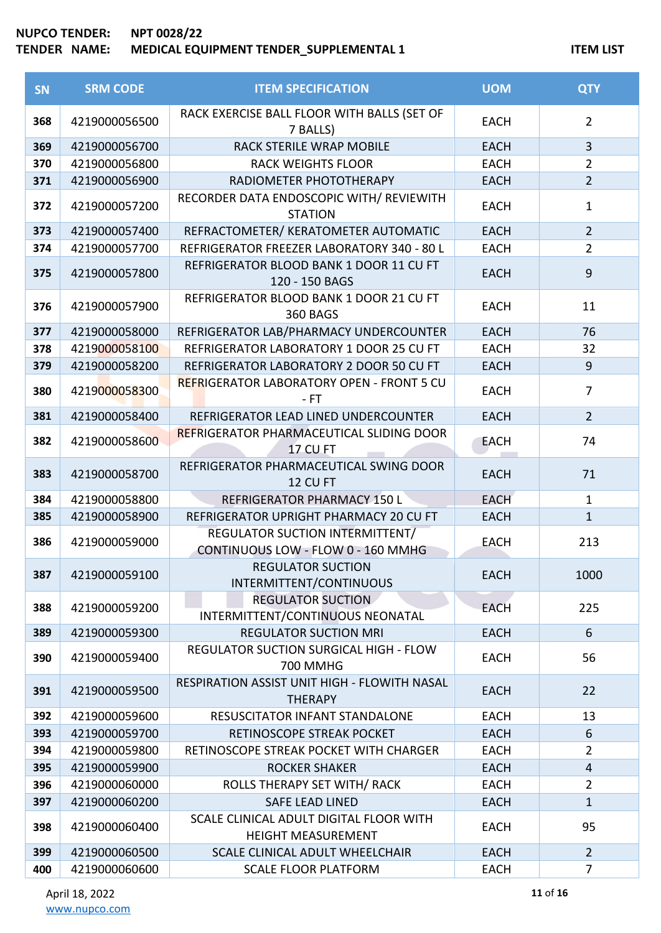| <b>SN</b> | <b>SRM CODE</b> | <b>ITEM SPECIFICATION</b>                                             | <b>UOM</b>  | <b>QTY</b>     |
|-----------|-----------------|-----------------------------------------------------------------------|-------------|----------------|
| 368       | 4219000056500   | RACK EXERCISE BALL FLOOR WITH BALLS (SET OF<br>7 BALLS)               | <b>EACH</b> | $\overline{2}$ |
| 369       | 4219000056700   | <b>RACK STERILE WRAP MOBILE</b>                                       | <b>EACH</b> | $\overline{3}$ |
| 370       | 4219000056800   | <b>RACK WEIGHTS FLOOR</b>                                             | <b>EACH</b> | $\overline{2}$ |
| 371       | 4219000056900   | RADIOMETER PHOTOTHERAPY                                               | <b>EACH</b> | $\overline{2}$ |
| 372       | 4219000057200   | RECORDER DATA ENDOSCOPIC WITH/ REVIEWITH<br><b>STATION</b>            | <b>EACH</b> | $\mathbf{1}$   |
| 373       | 4219000057400   | REFRACTOMETER/ KERATOMETER AUTOMATIC                                  | <b>EACH</b> | $\overline{2}$ |
| 374       | 4219000057700   | REFRIGERATOR FREEZER LABORATORY 340 - 80 L                            | <b>EACH</b> | $\overline{2}$ |
| 375       | 4219000057800   | REFRIGERATOR BLOOD BANK 1 DOOR 11 CU FT<br>120 - 150 BAGS             | <b>EACH</b> | $9$            |
| 376       | 4219000057900   | REFRIGERATOR BLOOD BANK 1 DOOR 21 CU FT<br><b>360 BAGS</b>            | <b>EACH</b> | 11             |
| 377       | 4219000058000   | REFRIGERATOR LAB/PHARMACY UNDERCOUNTER                                | <b>EACH</b> | 76             |
| 378       | 4219000058100   | REFRIGERATOR LABORATORY 1 DOOR 25 CU FT                               | <b>EACH</b> | 32             |
| 379       | 4219000058200   | REFRIGERATOR LABORATORY 2 DOOR 50 CU FT                               | <b>EACH</b> | $\overline{9}$ |
| 380       | 4219000058300   | <b>REFRIGERATOR LABORATORY OPEN - FRONT 5 CU</b><br>- FT              | <b>EACH</b> | $\overline{7}$ |
| 381       | 4219000058400   | REFRIGERATOR LEAD LINED UNDERCOUNTER                                  | <b>EACH</b> | $\overline{2}$ |
| 382       | 4219000058600   | REFRIGERATOR PHARMACEUTICAL SLIDING DOOR<br><b>17 CU FT</b>           | <b>EACH</b> | 74             |
| 383       | 4219000058700   | REFRIGERATOR PHARMACEUTICAL SWING DOOR<br>12 CU FT                    | <b>EACH</b> | 71             |
| 384       | 4219000058800   | REFRIGERATOR PHARMACY 150 L                                           | <b>EACH</b> | $\mathbf{1}$   |
| 385       | 4219000058900   | REFRIGERATOR UPRIGHT PHARMACY 20 CU FT                                | <b>EACH</b> | $\mathbf{1}$   |
| 386       | 4219000059000   | REGULATOR SUCTION INTERMITTENT/<br>CONTINUOUS LOW - FLOW 0 - 160 MMHG | <b>EACH</b> | 213            |
| 387       | 4219000059100   | <b>REGULATOR SUCTION</b><br>INTERMITTENT/CONTINUOUS                   | <b>EACH</b> | 1000           |
| 388       | 4219000059200   | <b>REGULATOR SUCTION</b><br>INTERMITTENT/CONTINUOUS NEONATAL          | <b>EACH</b> | 225            |
| 389       | 4219000059300   | <b>REGULATOR SUCTION MRI</b>                                          | <b>EACH</b> | 6              |
| 390       | 4219000059400   | <b>REGULATOR SUCTION SURGICAL HIGH - FLOW</b><br><b>700 MMHG</b>      | <b>EACH</b> | 56             |
| 391       | 4219000059500   | RESPIRATION ASSIST UNIT HIGH - FLOWITH NASAL<br><b>THERAPY</b>        | <b>EACH</b> | 22             |
| 392       | 4219000059600   | RESUSCITATOR INFANT STANDALONE                                        | <b>EACH</b> | 13             |
| 393       | 4219000059700   | RETINOSCOPE STREAK POCKET                                             | <b>EACH</b> | 6              |
| 394       | 4219000059800   | RETINOSCOPE STREAK POCKET WITH CHARGER                                | <b>EACH</b> | $\overline{2}$ |
| 395       | 4219000059900   | <b>ROCKER SHAKER</b>                                                  | <b>EACH</b> | $\overline{4}$ |
| 396       | 4219000060000   | ROLLS THERAPY SET WITH/ RACK                                          | <b>EACH</b> | $\overline{2}$ |
| 397       | 4219000060200   | <b>SAFE LEAD LINED</b>                                                | <b>EACH</b> | $\mathbf{1}$   |
| 398       | 4219000060400   | SCALE CLINICAL ADULT DIGITAL FLOOR WITH<br><b>HEIGHT MEASUREMENT</b>  | <b>EACH</b> | 95             |
| 399       | 4219000060500   | SCALE CLINICAL ADULT WHEELCHAIR                                       | <b>EACH</b> | $\overline{2}$ |
| 400       | 4219000060600   | <b>SCALE FLOOR PLATFORM</b>                                           | <b>EACH</b> | $\overline{7}$ |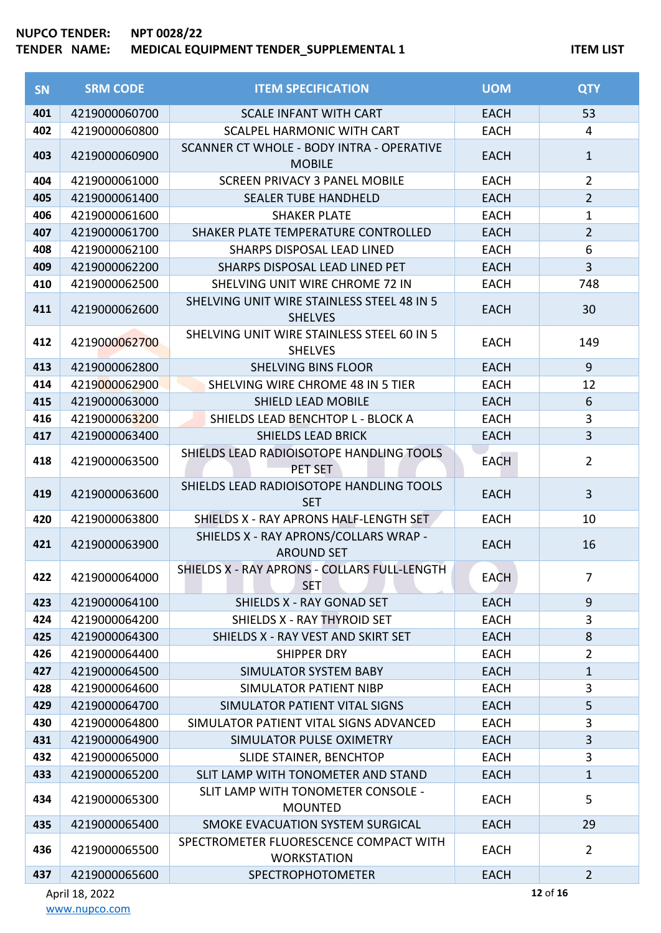| <b>SN</b> | <b>SRM CODE</b> | <b>ITEM SPECIFICATION</b>                                    | <b>UOM</b>  | <b>QTY</b>     |
|-----------|-----------------|--------------------------------------------------------------|-------------|----------------|
| 401       | 4219000060700   | <b>SCALE INFANT WITH CART</b>                                | <b>EACH</b> | 53             |
| 402       | 4219000060800   | SCALPEL HARMONIC WITH CART                                   | <b>EACH</b> | 4              |
| 403       | 4219000060900   | SCANNER CT WHOLE - BODY INTRA - OPERATIVE<br><b>MOBILE</b>   | <b>EACH</b> | $\mathbf{1}$   |
| 404       | 4219000061000   | <b>SCREEN PRIVACY 3 PANEL MOBILE</b>                         | <b>EACH</b> | $\overline{2}$ |
| 405       | 4219000061400   | <b>SEALER TUBE HANDHELD</b>                                  | <b>EACH</b> | $\overline{2}$ |
| 406       | 4219000061600   | <b>SHAKER PLATE</b>                                          | <b>EACH</b> | $\mathbf{1}$   |
| 407       | 4219000061700   | SHAKER PLATE TEMPERATURE CONTROLLED                          | <b>EACH</b> | $\overline{2}$ |
| 408       | 4219000062100   | SHARPS DISPOSAL LEAD LINED                                   | <b>EACH</b> | 6              |
| 409       | 4219000062200   | SHARPS DISPOSAL LEAD LINED PET                               | <b>EACH</b> | $\overline{3}$ |
| 410       | 4219000062500   | SHELVING UNIT WIRE CHROME 72 IN                              | <b>EACH</b> | 748            |
| 411       | 4219000062600   | SHELVING UNIT WIRE STAINLESS STEEL 48 IN 5<br><b>SHELVES</b> | <b>EACH</b> | 30             |
| 412       | 4219000062700   | SHELVING UNIT WIRE STAINLESS STEEL 60 IN 5<br><b>SHELVES</b> | <b>EACH</b> | 149            |
| 413       | 4219000062800   | <b>SHELVING BINS FLOOR</b>                                   | <b>EACH</b> | 9              |
| 414       | 4219000062900   | SHELVING WIRE CHROME 48 IN 5 TIER                            | <b>EACH</b> | 12             |
| 415       | 4219000063000   | SHIELD LEAD MOBILE                                           | <b>EACH</b> | 6              |
| 416       | 4219000063200   | SHIELDS LEAD BENCHTOP L - BLOCK A                            | <b>EACH</b> | 3              |
| 417       | 4219000063400   | <b>SHIELDS LEAD BRICK</b>                                    | <b>EACH</b> | $\overline{3}$ |
| 418       | 4219000063500   | SHIELDS LEAD RADIOISOTOPE HANDLING TOOLS<br>PET SET          | <b>EACH</b> | $\overline{2}$ |
| 419       | 4219000063600   | SHIELDS LEAD RADIOISOTOPE HANDLING TOOLS<br><b>SET</b>       | <b>EACH</b> | $\overline{3}$ |
| 420       | 4219000063800   | SHIELDS X - RAY APRONS HALF-LENGTH SET                       | <b>EACH</b> | 10             |
| 421       | 4219000063900   | SHIELDS X - RAY APRONS/COLLARS WRAP -<br><b>AROUND SET</b>   | <b>EACH</b> | 16             |
| 422       | 4219000064000   | SHIELDS X - RAY APRONS - COLLARS FULL-LENGTH<br><b>SET</b>   | <b>EACH</b> | $\overline{7}$ |
| 423       | 4219000064100   | SHIELDS X - RAY GONAD SET                                    | <b>EACH</b> | 9              |
| 424       | 4219000064200   | SHIELDS X - RAY THYROID SET                                  | <b>EACH</b> | 3              |
| 425       | 4219000064300   | SHIELDS X - RAY VEST AND SKIRT SET                           | <b>EACH</b> | 8              |
| 426       | 4219000064400   | <b>SHIPPER DRY</b>                                           | <b>EACH</b> | $\overline{2}$ |
| 427       | 4219000064500   | <b>SIMULATOR SYSTEM BABY</b>                                 | <b>EACH</b> | $\mathbf{1}$   |
| 428       | 4219000064600   | SIMULATOR PATIENT NIBP                                       | <b>EACH</b> | 3              |
| 429       | 4219000064700   | SIMULATOR PATIENT VITAL SIGNS                                | <b>EACH</b> | 5              |
| 430       | 4219000064800   | SIMULATOR PATIENT VITAL SIGNS ADVANCED                       | <b>EACH</b> | 3              |
| 431       | 4219000064900   | SIMULATOR PULSE OXIMETRY                                     | <b>EACH</b> | $\overline{3}$ |
| 432       | 4219000065000   | SLIDE STAINER, BENCHTOP                                      | <b>EACH</b> | 3              |
| 433       | 4219000065200   | SLIT LAMP WITH TONOMETER AND STAND                           | <b>EACH</b> | $\mathbf{1}$   |
| 434       | 4219000065300   | SLIT LAMP WITH TONOMETER CONSOLE -<br><b>MOUNTED</b>         | <b>EACH</b> | 5              |
| 435       | 4219000065400   | SMOKE EVACUATION SYSTEM SURGICAL                             | <b>EACH</b> | 29             |
| 436       | 4219000065500   | SPECTROMETER FLUORESCENCE COMPACT WITH<br><b>WORKSTATION</b> | <b>EACH</b> | $\overline{2}$ |
| 437       | 4219000065600   | <b>SPECTROPHOTOMETER</b>                                     | <b>EACH</b> | $\overline{2}$ |

of **16**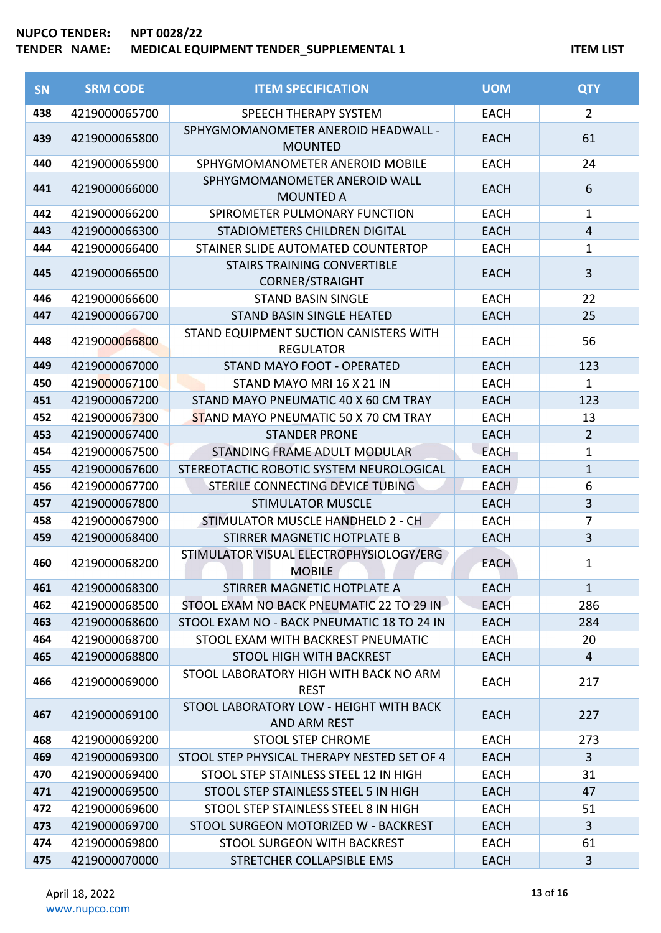# **NUPCO TENDER: NPT 0028/22**

# **TENDER NAME: MEDICAL EQUIPMENT TENDER\_SUPPLEMENTAL 1 ITEM LIST**

| <b>SN</b> | <b>SRM CODE</b> | <b>ITEM SPECIFICATION</b>                                    | <b>UOM</b>  | <b>QTY</b>     |
|-----------|-----------------|--------------------------------------------------------------|-------------|----------------|
| 438       | 4219000065700   | SPEECH THERAPY SYSTEM                                        | <b>EACH</b> | $\overline{2}$ |
| 439       | 4219000065800   | SPHYGMOMANOMETER ANEROID HEADWALL -<br><b>MOUNTED</b>        | <b>EACH</b> | 61             |
| 440       | 4219000065900   | SPHYGMOMANOMETER ANEROID MOBILE                              | <b>EACH</b> | 24             |
| 441       | 4219000066000   | SPHYGMOMANOMETER ANEROID WALL<br><b>MOUNTED A</b>            | <b>EACH</b> | 6              |
| 442       | 4219000066200   | SPIROMETER PULMONARY FUNCTION                                | <b>EACH</b> | $\mathbf{1}$   |
| 443       | 4219000066300   | STADIOMETERS CHILDREN DIGITAL                                | <b>EACH</b> | $\overline{4}$ |
| 444       | 4219000066400   | STAINER SLIDE AUTOMATED COUNTERTOP                           | <b>EACH</b> | $\mathbf{1}$   |
| 445       | 4219000066500   | <b>STAIRS TRAINING CONVERTIBLE</b><br><b>CORNER/STRAIGHT</b> | <b>EACH</b> | 3              |
| 446       | 4219000066600   | <b>STAND BASIN SINGLE</b>                                    | <b>EACH</b> | 22             |
| 447       | 4219000066700   | <b>STAND BASIN SINGLE HEATED</b>                             | <b>EACH</b> | 25             |
| 448       | 4219000066800   | STAND EQUIPMENT SUCTION CANISTERS WITH<br><b>REGULATOR</b>   | <b>EACH</b> | 56             |
| 449       | 4219000067000   | STAND MAYO FOOT - OPERATED                                   | <b>EACH</b> | 123            |
| 450       | 4219000067100   | STAND MAYO MRI 16 X 21 IN                                    | <b>EACH</b> | $\mathbf{1}$   |
| 451       | 4219000067200   | STAND MAYO PNEUMATIC 40 X 60 CM TRAY                         | <b>EACH</b> | 123            |
| 452       | 4219000067300   | STAND MAYO PNEUMATIC 50 X 70 CM TRAY                         | <b>EACH</b> | 13             |
| 453       | 4219000067400   | <b>STANDER PRONE</b>                                         | <b>EACH</b> | $\overline{2}$ |
| 454       | 4219000067500   | STANDING FRAME ADULT MODULAR                                 | <b>EACH</b> | $\mathbf 1$    |
| 455       | 4219000067600   | STEREOTACTIC ROBOTIC SYSTEM NEUROLOGICAL                     | <b>EACH</b> | $\mathbf{1}$   |
| 456       | 4219000067700   | STERILE CONNECTING DEVICE TUBING                             | <b>EACH</b> | 6              |
| 457       | 4219000067800   | <b>STIMULATOR MUSCLE</b>                                     | <b>EACH</b> | $\overline{3}$ |
| 458       | 4219000067900   | STIMULATOR MUSCLE HANDHELD 2 - CH                            | <b>EACH</b> | $\overline{7}$ |
| 459       | 4219000068400   | STIRRER MAGNETIC HOTPLATE B                                  | <b>EACH</b> | 3              |
| 460       | 4219000068200   | STIMULATOR VISUAL ELECTROPHYSIOLOGY/ERG<br><b>MOBILE</b>     | <b>EACH</b> | $\mathbf{1}$   |
| 461       | 4219000068300   | STIRRER MAGNETIC HOTPLATE A                                  | <b>EACH</b> | $\mathbf{1}$   |
| 462       | 4219000068500   | STOOL EXAM NO BACK PNEUMATIC 22 TO 29 IN                     | <b>EACH</b> | 286            |
| 463       | 4219000068600   | STOOL EXAM NO - BACK PNEUMATIC 18 TO 24 IN                   | <b>EACH</b> | 284            |
| 464       | 4219000068700   | STOOL EXAM WITH BACKREST PNEUMATIC                           | <b>EACH</b> | 20             |
| 465       | 4219000068800   | STOOL HIGH WITH BACKREST                                     | <b>EACH</b> | $\overline{4}$ |
| 466       | 4219000069000   | STOOL LABORATORY HIGH WITH BACK NO ARM<br><b>REST</b>        | <b>EACH</b> | 217            |
| 467       | 4219000069100   | STOOL LABORATORY LOW - HEIGHT WITH BACK<br>AND ARM REST      | <b>EACH</b> | 227            |
| 468       | 4219000069200   | <b>STOOL STEP CHROME</b>                                     | <b>EACH</b> | 273            |
| 469       | 4219000069300   | STOOL STEP PHYSICAL THERAPY NESTED SET OF 4                  | <b>EACH</b> | $\overline{3}$ |
| 470       | 4219000069400   | STOOL STEP STAINLESS STEEL 12 IN HIGH                        | <b>EACH</b> | 31             |
| 471       | 4219000069500   | STOOL STEP STAINLESS STEEL 5 IN HIGH                         | <b>EACH</b> | 47             |
| 472       | 4219000069600   | STOOL STEP STAINLESS STEEL 8 IN HIGH                         | <b>EACH</b> | 51             |
| 473       | 4219000069700   | STOOL SURGEON MOTORIZED W - BACKREST                         | <b>EACH</b> | $\overline{3}$ |
| 474       | 4219000069800   | STOOL SURGEON WITH BACKREST                                  | <b>EACH</b> | 61             |
| 475       | 4219000070000   | STRETCHER COLLAPSIBLE EMS                                    | <b>EACH</b> | 3              |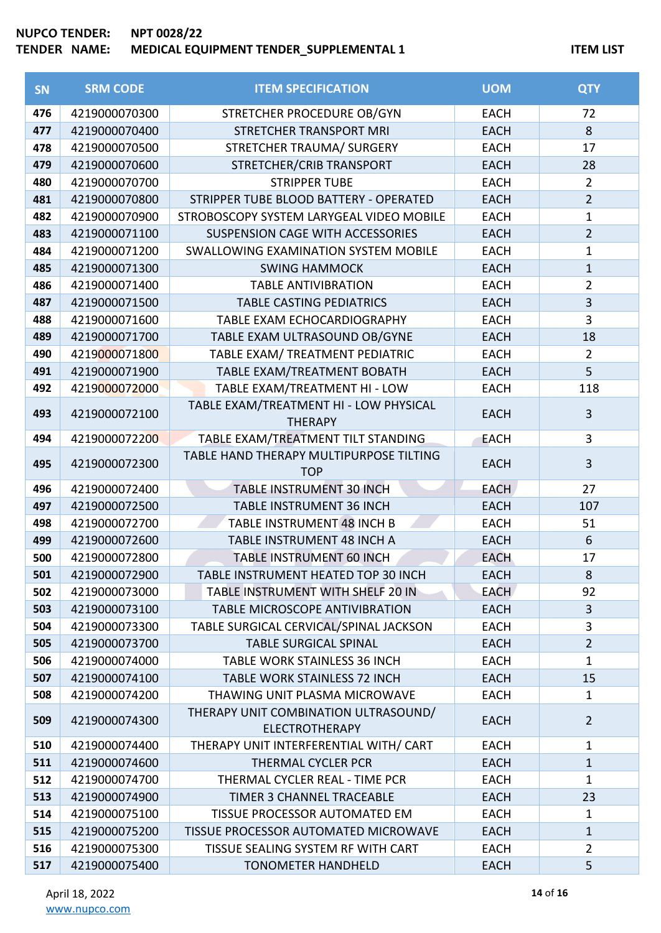| SN  | <b>SRM CODE</b> | <b>ITEM SPECIFICATION</b>                                     | <b>UOM</b>  | <b>QTY</b>     |
|-----|-----------------|---------------------------------------------------------------|-------------|----------------|
| 476 | 4219000070300   | STRETCHER PROCEDURE OB/GYN                                    | <b>EACH</b> | 72             |
| 477 | 4219000070400   | <b>STRETCHER TRANSPORT MRI</b>                                | <b>EACH</b> | 8              |
| 478 | 4219000070500   | STRETCHER TRAUMA/ SURGERY                                     | <b>EACH</b> | 17             |
| 479 | 4219000070600   | STRETCHER/CRIB TRANSPORT                                      | <b>EACH</b> | 28             |
| 480 | 4219000070700   | <b>STRIPPER TUBE</b>                                          | <b>EACH</b> | $\overline{2}$ |
| 481 | 4219000070800   | STRIPPER TUBE BLOOD BATTERY - OPERATED                        | <b>EACH</b> | $\overline{2}$ |
| 482 | 4219000070900   | STROBOSCOPY SYSTEM LARYGEAL VIDEO MOBILE                      | <b>EACH</b> | $\mathbf{1}$   |
| 483 | 4219000071100   | SUSPENSION CAGE WITH ACCESSORIES                              | <b>EACH</b> | $\overline{2}$ |
| 484 | 4219000071200   | SWALLOWING EXAMINATION SYSTEM MOBILE                          | <b>EACH</b> | $\mathbf{1}$   |
| 485 | 4219000071300   | <b>SWING HAMMOCK</b>                                          | <b>EACH</b> | $\mathbf{1}$   |
| 486 | 4219000071400   | <b>TABLE ANTIVIBRATION</b>                                    | <b>EACH</b> | $\overline{2}$ |
| 487 | 4219000071500   | <b>TABLE CASTING PEDIATRICS</b>                               | <b>EACH</b> | $\overline{3}$ |
| 488 | 4219000071600   | TABLE EXAM ECHOCARDIOGRAPHY                                   | <b>EACH</b> | 3              |
| 489 | 4219000071700   | TABLE EXAM ULTRASOUND OB/GYNE                                 | <b>EACH</b> | 18             |
| 490 | 4219000071800   | TABLE EXAM/ TREATMENT PEDIATRIC                               | <b>EACH</b> | $\overline{2}$ |
| 491 | 4219000071900   | TABLE EXAM/TREATMENT BOBATH                                   | <b>EACH</b> | 5              |
| 492 | 4219000072000   | TABLE EXAM/TREATMENT HI - LOW                                 | <b>EACH</b> | 118            |
| 493 | 4219000072100   | TABLE EXAM/TREATMENT HI - LOW PHYSICAL<br><b>THERAPY</b>      | <b>EACH</b> | $\overline{3}$ |
| 494 | 4219000072200   | TABLE EXAM/TREATMENT TILT STANDING                            | <b>EACH</b> | 3              |
| 495 | 4219000072300   | TABLE HAND THERAPY MULTIPURPOSE TILTING<br><b>TOP</b>         | <b>EACH</b> | $\overline{3}$ |
| 496 | 4219000072400   | <b>TABLE INSTRUMENT 30 INCH</b>                               | <b>EACH</b> | 27             |
| 497 | 4219000072500   | <b>TABLE INSTRUMENT 36 INCH</b>                               | <b>EACH</b> | 107            |
| 498 | 4219000072700   | TABLE INSTRUMENT 48 INCH B                                    | <b>EACH</b> | 51             |
| 499 | 4219000072600   | TABLE INSTRUMENT 48 INCH A                                    | <b>EACH</b> | $6\,$          |
| 500 | 4219000072800   | <b>TABLE INSTRUMENT 60 INCH</b>                               | <b>EACH</b> | 17             |
| 501 | 4219000072900   | TABLE INSTRUMENT HEATED TOP 30 INCH                           | <b>EACH</b> | 8              |
| 502 | 4219000073000   | TABLE INSTRUMENT WITH SHELF 20 IN                             | <b>EACH</b> | 92             |
| 503 | 4219000073100   | <b>TABLE MICROSCOPE ANTIVIBRATION</b>                         | <b>EACH</b> | 3              |
| 504 | 4219000073300   | TABLE SURGICAL CERVICAL/SPINAL JACKSON                        | <b>EACH</b> | 3              |
| 505 | 4219000073700   | <b>TABLE SURGICAL SPINAL</b>                                  | <b>EACH</b> | $\overline{2}$ |
| 506 | 4219000074000   | <b>TABLE WORK STAINLESS 36 INCH</b>                           | <b>EACH</b> | 1              |
| 507 | 4219000074100   | <b>TABLE WORK STAINLESS 72 INCH</b>                           | <b>EACH</b> | 15             |
| 508 | 4219000074200   | THAWING UNIT PLASMA MICROWAVE                                 | <b>EACH</b> | $\mathbf{1}$   |
| 509 | 4219000074300   | THERAPY UNIT COMBINATION ULTRASOUND/<br><b>ELECTROTHERAPY</b> | <b>EACH</b> | $\overline{2}$ |
| 510 | 4219000074400   | THERAPY UNIT INTERFERENTIAL WITH/ CART                        | <b>EACH</b> | $\mathbf{1}$   |
| 511 | 4219000074600   | THERMAL CYCLER PCR                                            | <b>EACH</b> | $\mathbf{1}$   |
| 512 | 4219000074700   | THERMAL CYCLER REAL - TIME PCR                                | <b>EACH</b> | $\mathbf 1$    |
| 513 | 4219000074900   | <b>TIMER 3 CHANNEL TRACEABLE</b>                              | <b>EACH</b> | 23             |
| 514 | 4219000075100   | <b>TISSUE PROCESSOR AUTOMATED EM</b>                          | <b>EACH</b> | $\mathbf{1}$   |
| 515 | 4219000075200   | TISSUE PROCESSOR AUTOMATED MICROWAVE                          | <b>EACH</b> | $\mathbf{1}$   |
| 516 | 4219000075300   | TISSUE SEALING SYSTEM RF WITH CART                            | <b>EACH</b> | $\overline{2}$ |
| 517 | 4219000075400   | <b>TONOMETER HANDHELD</b>                                     | <b>EACH</b> | 5              |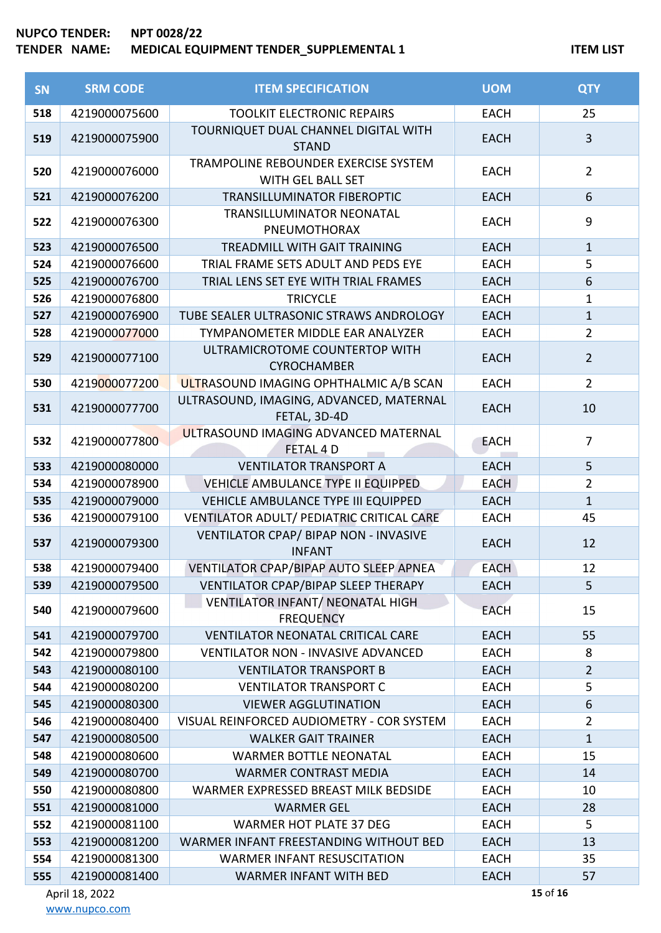| SN         | <b>SRM CODE</b>                | <b>ITEM SPECIFICATION</b>                                               | <b>UOM</b>                 | <b>QTY</b>                     |
|------------|--------------------------------|-------------------------------------------------------------------------|----------------------------|--------------------------------|
| 518        | 4219000075600                  | <b>TOOLKIT ELECTRONIC REPAIRS</b>                                       | <b>EACH</b>                | 25                             |
| 519        | 4219000075900                  | TOURNIQUET DUAL CHANNEL DIGITAL WITH<br><b>STAND</b>                    | <b>EACH</b>                | 3                              |
| 520        | 4219000076000                  | TRAMPOLINE REBOUNDER EXERCISE SYSTEM<br>WITH GEL BALL SET               | <b>EACH</b>                | $\overline{2}$                 |
| 521        | 4219000076200                  | TRANSILLUMINATOR FIBEROPTIC                                             | <b>EACH</b>                | $6\,$                          |
| 522        | 4219000076300                  | <b>TRANSILLUMINATOR NEONATAL</b><br>PNEUMOTHORAX                        | <b>EACH</b>                | $\boldsymbol{9}$               |
| 523        | 4219000076500                  | <b>TREADMILL WITH GAIT TRAINING</b>                                     | <b>EACH</b>                | $\mathbf{1}$                   |
| 524        | 4219000076600                  | TRIAL FRAME SETS ADULT AND PEDS EYE                                     | <b>EACH</b>                | 5                              |
| 525        | 4219000076700                  | TRIAL LENS SET EYE WITH TRIAL FRAMES                                    | <b>EACH</b>                | 6                              |
| 526        | 4219000076800                  | <b>TRICYCLE</b>                                                         | <b>EACH</b>                | $\mathbf{1}$                   |
| 527        | 4219000076900                  | TUBE SEALER ULTRASONIC STRAWS ANDROLOGY                                 | <b>EACH</b>                | $\mathbf{1}$                   |
| 528        | 4219000077000                  | TYMPANOMETER MIDDLE EAR ANALYZER                                        | <b>EACH</b>                | $\overline{2}$                 |
| 529        | 4219000077100                  | ULTRAMICROTOME COUNTERTOP WITH<br><b>CYROCHAMBER</b>                    | <b>EACH</b>                | $\overline{2}$                 |
| 530        | 4219000077200                  | ULTRASOUND IMAGING OPHTHALMIC A/B SCAN                                  | <b>EACH</b>                | $\overline{2}$                 |
| 531        | 4219000077700                  | ULTRASOUND, IMAGING, ADVANCED, MATERNAL<br>FETAL, 3D-4D                 | <b>EACH</b>                | 10                             |
| 532        | 4219000077800                  | ULTRASOUND IMAGING ADVANCED MATERNAL<br>FETAL 4 D                       | <b>EACH</b>                | $\overline{7}$                 |
| 533        | 4219000080000                  | <b>VENTILATOR TRANSPORT A</b>                                           | <b>EACH</b>                | 5                              |
| 534        | 4219000078900                  | VEHICLE AMBULANCE TYPE II EQUIPPED                                      | <b>EACH</b>                | $\overline{2}$                 |
| 535        | 4219000079000                  | VEHICLE AMBULANCE TYPE III EQUIPPED                                     | <b>EACH</b>                | $\mathbf{1}$                   |
| 536        | 4219000079100                  | VENTILATOR ADULT/ PEDIATRIC CRITICAL CARE                               | <b>EACH</b>                | 45                             |
| 537        | 4219000079300                  | VENTILATOR CPAP/ BIPAP NON - INVASIVE<br><b>INFANT</b>                  | <b>EACH</b>                | 12                             |
| 538        | 4219000079400                  | VENTILATOR CPAP/BIPAP AUTO SLEEP APNEA                                  | <b>EACH</b>                | 12                             |
| 539        | 4219000079500                  | VENTILATOR CPAP/BIPAP SLEEP THERAPY                                     | <b>EACH</b>                | 5                              |
| 540        | 4219000079600                  | VENTILATOR INFANT/ NEONATAL HIGH<br><b>FREQUENCY</b>                    | <b>EACH</b>                | 15                             |
| 541        | 4219000079700                  | <b>VENTILATOR NEONATAL CRITICAL CARE</b>                                | <b>EACH</b>                | 55                             |
| 542        | 4219000079800                  | <b>VENTILATOR NON - INVASIVE ADVANCED</b>                               | <b>EACH</b>                | 8                              |
| 543        | 4219000080100                  | <b>VENTILATOR TRANSPORT B</b>                                           | <b>EACH</b>                | $\overline{2}$                 |
| 544        | 4219000080200                  | <b>VENTILATOR TRANSPORT C</b>                                           | <b>EACH</b>                | 5                              |
| 545        | 4219000080300                  | <b>VIEWER AGGLUTINATION</b>                                             | <b>EACH</b>                | 6                              |
| 546<br>547 | 4219000080400<br>4219000080500 | VISUAL REINFORCED AUDIOMETRY - COR SYSTEM<br><b>WALKER GAIT TRAINER</b> | <b>EACH</b><br><b>EACH</b> | $\overline{2}$<br>$\mathbf{1}$ |
| 548        | 4219000080600                  | <b>WARMER BOTTLE NEONATAL</b>                                           | <b>EACH</b>                | 15                             |
| 549        | 4219000080700                  | <b>WARMER CONTRAST MEDIA</b>                                            | <b>EACH</b>                | 14                             |
| 550        | 4219000080800                  | WARMER EXPRESSED BREAST MILK BEDSIDE                                    | <b>EACH</b>                | 10                             |
| 551        | 4219000081000                  | <b>WARMER GEL</b>                                                       | <b>EACH</b>                | 28                             |
| 552        | 4219000081100                  | <b>WARMER HOT PLATE 37 DEG</b>                                          | <b>EACH</b>                | 5                              |
| 553        | 4219000081200                  | WARMER INFANT FREESTANDING WITHOUT BED                                  | <b>EACH</b>                | 13                             |
| 554        | 4219000081300                  | <b>WARMER INFANT RESUSCITATION</b>                                      | EACH                       | 35                             |
| 555        | 4219000081400                  | <b>WARMER INFANT WITH BED</b>                                           | <b>EACH</b>                | 57                             |

April 18, 2022 [www.nupco.com](http://www.nupco.com/) of **16**